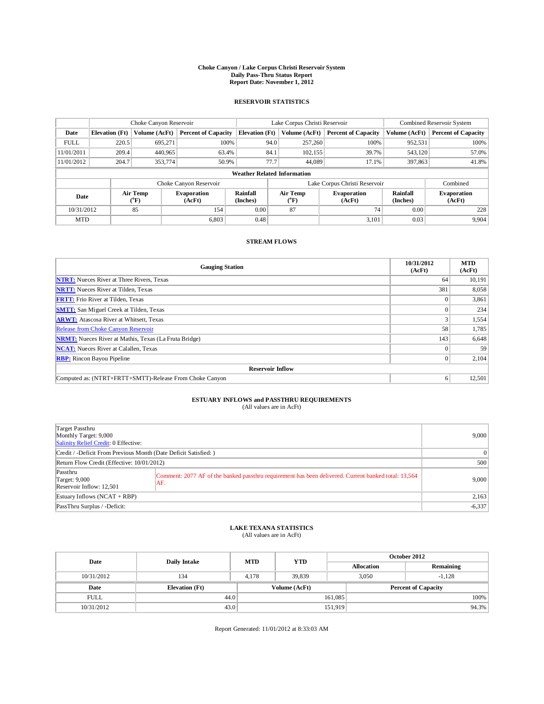### **Choke Canyon / Lake Corpus Christi Reservoir System Daily Pass-Thru Status Report Report Date: November 1, 2012**

#### **RESERVOIR STATISTICS**

|             | Choke Canyon Reservoir             |                  | Lake Corpus Christi Reservoir |                       |      |                       | Combined Reservoir System     |                             |                              |  |  |
|-------------|------------------------------------|------------------|-------------------------------|-----------------------|------|-----------------------|-------------------------------|-----------------------------|------------------------------|--|--|
| Date        | <b>Elevation</b> (Ft)              | Volume (AcFt)    | <b>Percent of Capacity</b>    | <b>Elevation</b> (Ft) |      | Volume (AcFt)         | <b>Percent of Capacity</b>    | Volume (AcFt)               | <b>Percent of Capacity</b>   |  |  |
| <b>FULL</b> | 220.5                              | 695,271          | 100%                          |                       | 94.0 | 257,260               | 100%                          | 952,531                     | 100%                         |  |  |
| 11/01/2011  | 209.4                              | 440,965          | 63.4%                         |                       | 84.1 | 102, 155              | 39.7%                         | 543,120                     | 57.0%                        |  |  |
| 11/01/2012  | 204.7                              | 353,774          | 50.9%                         |                       | 77.7 | 44.089                | 17.1%                         | 397,863                     | 41.8%                        |  |  |
|             | <b>Weather Related Information</b> |                  |                               |                       |      |                       |                               |                             |                              |  |  |
|             |                                    |                  | Choke Canyon Reservoir        |                       |      |                       | Lake Corpus Christi Reservoir |                             | Combined                     |  |  |
| Date        |                                    | Air Temp<br>(°F) | <b>Evaporation</b><br>(AcFt)  | Rainfall<br>(Inches)  |      | Air Temp<br>$(^{o}F)$ | <b>Evaporation</b><br>(AcFt)  | <b>Rainfall</b><br>(Inches) | <b>Evaporation</b><br>(AcFt) |  |  |
| 10/31/2012  |                                    | 85               | 154                           | 0.00                  |      | 87                    | 74                            | 0.00                        | 228                          |  |  |
| <b>MTD</b>  |                                    |                  | 6,803                         | 0.48                  |      |                       | 3,101                         | 0.03                        | 9,904                        |  |  |

#### **STREAM FLOWS**

| <b>Gauging Station</b>                                       | 10/31/2012<br>(AcFt) | <b>MTD</b><br>(AcFt) |  |  |  |  |  |
|--------------------------------------------------------------|----------------------|----------------------|--|--|--|--|--|
| <b>NTRT:</b> Nueces River at Three Rivers, Texas             | 64                   | 10,191               |  |  |  |  |  |
| <b>NRTT:</b> Nueces River at Tilden, Texas                   | 381                  | 8,058                |  |  |  |  |  |
| <b>FRTT:</b> Frio River at Tilden, Texas                     |                      | 3,861                |  |  |  |  |  |
| <b>SMTT:</b> San Miguel Creek at Tilden, Texas               |                      | 234                  |  |  |  |  |  |
| <b>ARWT:</b> Atascosa River at Whitsett, Texas               |                      | 1,554                |  |  |  |  |  |
| Release from Choke Canyon Reservoir                          | 58                   | 1,785                |  |  |  |  |  |
| <b>NRMT:</b> Nueces River at Mathis, Texas (La Fruta Bridge) | 143                  | 6,648                |  |  |  |  |  |
| <b>NCAT:</b> Nueces River at Calallen, Texas                 | $\Omega$             | 59                   |  |  |  |  |  |
| <b>RBP:</b> Rincon Bayou Pipeline                            | $\Omega$             | 2,104                |  |  |  |  |  |
| <b>Reservoir Inflow</b>                                      |                      |                      |  |  |  |  |  |
| Computed as: (NTRT+FRTT+SMTT)-Release From Choke Canyon      | 6                    | 12,501               |  |  |  |  |  |

# **ESTUARY INFLOWS and PASSTHRU REQUIREMENTS**<br>(All values are in AcFt)

| (All values are in Acry) |  |
|--------------------------|--|
|                          |  |

| Target Passthru<br>Monthly Target: 9,000<br>Salinity Relief Credit: 0 Effective: | 9,000                                                                                                       |          |
|----------------------------------------------------------------------------------|-------------------------------------------------------------------------------------------------------------|----------|
| Credit / -Deficit From Previous Month (Date Deficit Satisfied: )                 | $\Omega$                                                                                                    |          |
| Return Flow Credit (Effective: 10/01/2012)                                       | 500                                                                                                         |          |
| Passthru<br>Target: 9,000<br>Reservoir Inflow: 12,501                            | Comment: 2077 AF of the banked passthru requirement has been delivered. Current banked total: 13,564<br>AF. | 9,000    |
| Estuary Inflows $(NCAT + RBP)$                                                   | 2,163                                                                                                       |          |
| PassThru Surplus / -Deficit:                                                     |                                                                                                             | $-6,337$ |

### **LAKE TEXANA STATISTICS** (All values are in AcFt)

| Date        |                       | <b>YTD</b><br><b>MTD</b> |               |                   | October 2012               |           |  |
|-------------|-----------------------|--------------------------|---------------|-------------------|----------------------------|-----------|--|
|             | <b>Daily Intake</b>   |                          |               | <b>Allocation</b> |                            | Remaining |  |
| 10/31/2012  | 134                   | 4.178                    | 39.839        |                   | 3,050<br>$-1,128$          |           |  |
| Date        | <b>Elevation</b> (Ft) |                          | Volume (AcFt) |                   | <b>Percent of Capacity</b> |           |  |
| <b>FULL</b> | 44.0                  |                          |               | 161,085           |                            | 100%      |  |
| 10/31/2012  | 43.0                  |                          |               | 151,919           |                            | 94.3%     |  |

Report Generated: 11/01/2012 at 8:33:03 AM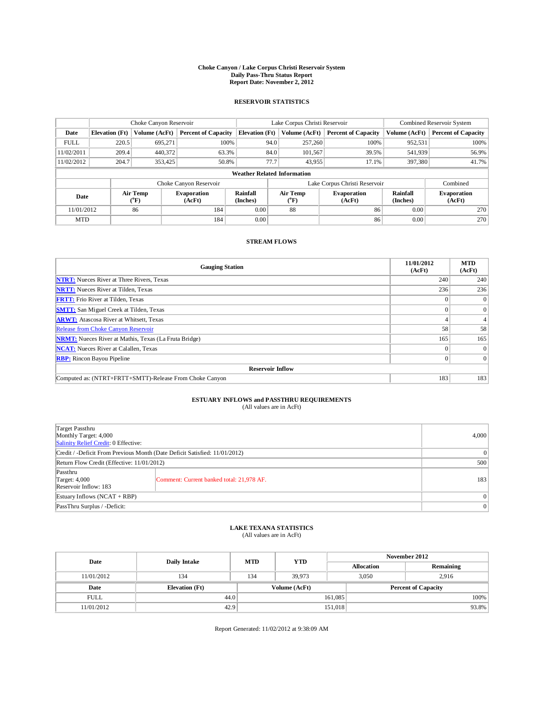### **Choke Canyon / Lake Corpus Christi Reservoir System Daily Pass-Thru Status Report Report Date: November 2, 2012**

#### **RESERVOIR STATISTICS**

|             |                                    | Choke Canyon Reservoir |                              |                       | Lake Corpus Christi Reservoir |                               |                      | Combined Reservoir System    |  |  |  |
|-------------|------------------------------------|------------------------|------------------------------|-----------------------|-------------------------------|-------------------------------|----------------------|------------------------------|--|--|--|
| Date        | <b>Elevation</b> (Ft)              | Volume (AcFt)          | <b>Percent of Capacity</b>   | <b>Elevation</b> (Ft) | Volume (AcFt)                 | <b>Percent of Capacity</b>    | Volume (AcFt)        | <b>Percent of Capacity</b>   |  |  |  |
| <b>FULL</b> | 220.5                              | 695,271                | 100%                         |                       | 94.0<br>257,260               | 100%                          | 952,531              | 100%                         |  |  |  |
| 11/02/2011  | 209.4                              | 440,372                | 63.3%                        |                       | 84.0<br>101,567               | 39.5%                         | 541,939              | 56.9%                        |  |  |  |
| 11/02/2012  | 204.7                              | 353,425                | 50.8%                        |                       | 77.7<br>43,955                | 17.1%                         | 397,380              | 41.7%                        |  |  |  |
|             | <b>Weather Related Information</b> |                        |                              |                       |                               |                               |                      |                              |  |  |  |
|             |                                    |                        | Choke Canyon Reservoir       |                       |                               | Lake Corpus Christi Reservoir |                      | Combined                     |  |  |  |
| Date        |                                    | Air Temp<br>(°F)       | <b>Evaporation</b><br>(AcFt) | Rainfall<br>(Inches)  | Air Temp<br>$\rm ^{(^oF)}$    | <b>Evaporation</b><br>(AcFt)  | Rainfall<br>(Inches) | <b>Evaporation</b><br>(AcFt) |  |  |  |
| 11/01/2012  |                                    | 86                     | 184                          | 0.00                  | 88                            | 86                            | 0.00                 | 270                          |  |  |  |
| <b>MTD</b>  |                                    |                        | 184                          | 0.00                  |                               | 86                            | 0.00                 | 270                          |  |  |  |

#### **STREAM FLOWS**

| <b>Gauging Station</b>                                       | 11/01/2012<br>(AcFt) | <b>MTD</b><br>(AcFt) |  |  |  |  |  |
|--------------------------------------------------------------|----------------------|----------------------|--|--|--|--|--|
| <b>NTRT:</b> Nueces River at Three Rivers, Texas             | 240                  | 240                  |  |  |  |  |  |
| <b>NRTT:</b> Nueces River at Tilden, Texas                   | 236                  | 236                  |  |  |  |  |  |
| <b>FRTT:</b> Frio River at Tilden, Texas                     |                      | $\Omega$             |  |  |  |  |  |
| <b>SMTT:</b> San Miguel Creek at Tilden, Texas               |                      | $\theta$             |  |  |  |  |  |
| <b>ARWT:</b> Atascosa River at Whitsett, Texas               |                      | 4                    |  |  |  |  |  |
| <b>Release from Choke Canyon Reservoir</b>                   | 58                   | 58                   |  |  |  |  |  |
| <b>NRMT:</b> Nueces River at Mathis, Texas (La Fruta Bridge) | 165                  | 165                  |  |  |  |  |  |
| <b>NCAT:</b> Nueces River at Calallen, Texas                 | $\Omega$             | $\Omega$             |  |  |  |  |  |
| <b>RBP:</b> Rincon Bayou Pipeline                            | $\Omega$             | $\Omega$             |  |  |  |  |  |
| <b>Reservoir Inflow</b>                                      |                      |                      |  |  |  |  |  |
| Computed as: (NTRT+FRTT+SMTT)-Release From Choke Canyon      | 183                  | 183                  |  |  |  |  |  |

# **ESTUARY INFLOWS and PASSTHRU REQUIREMENTS**<br>(All values are in AcFt)

| Target Passthru<br>Monthly Target: 4,000<br>Salinity Relief Credit: 0 Effective: | 4,000                                     |                 |
|----------------------------------------------------------------------------------|-------------------------------------------|-----------------|
| Credit / -Deficit From Previous Month (Date Deficit Satisfied: 11/01/2012)       |                                           | $\Omega$        |
| Return Flow Credit (Effective: 11/01/2012)                                       |                                           | 500             |
| Passthru<br>Target: $4,000$<br>Reservoir Inflow: 183                             | Comment: Current banked total: 21,978 AF. | 183             |
| Estuary Inflows $(NCAT + RBP)$                                                   |                                           | $\vert 0 \vert$ |
| PassThru Surplus / -Deficit:                                                     |                                           | $\vert 0 \vert$ |

### **LAKE TEXANA STATISTICS** (All values are in AcFt)

| Date        |                       | <b>MTD</b> | <b>YTD</b>    | November 2012 |                            |           |  |
|-------------|-----------------------|------------|---------------|---------------|----------------------------|-----------|--|
|             | <b>Daily Intake</b>   |            |               |               | <b>Allocation</b>          | Remaining |  |
| 11/01/2012  | 134                   | 134        | 39.973        |               | 3.050<br>2.916             |           |  |
| Date        | <b>Elevation</b> (Ft) |            | Volume (AcFt) |               | <b>Percent of Capacity</b> |           |  |
| <b>FULL</b> | 44.0                  |            |               | 161,085       |                            | 100%      |  |
| 11/01/2012  | 42.9                  |            |               | 151,018       |                            | 93.8%     |  |

Report Generated: 11/02/2012 at 9:38:09 AM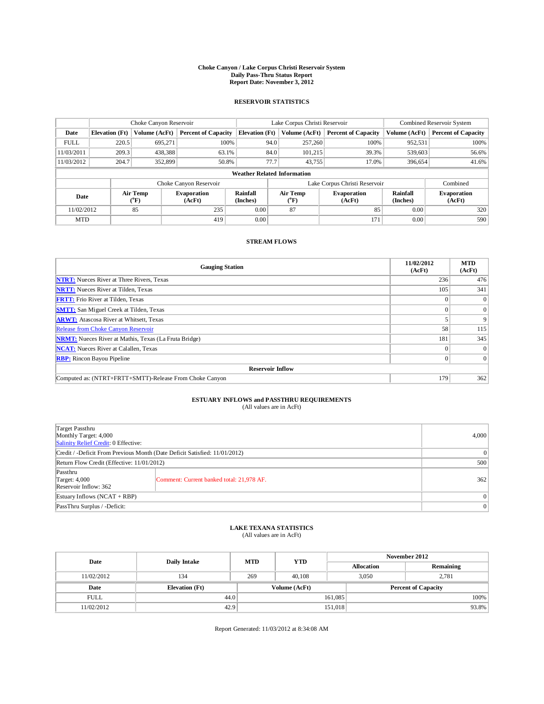### **Choke Canyon / Lake Corpus Christi Reservoir System Daily Pass-Thru Status Report Report Date: November 3, 2012**

#### **RESERVOIR STATISTICS**

|             | Choke Canyon Reservoir             |                  | Lake Corpus Christi Reservoir |                             |      |                                     | Combined Reservoir System     |                             |                              |  |  |
|-------------|------------------------------------|------------------|-------------------------------|-----------------------------|------|-------------------------------------|-------------------------------|-----------------------------|------------------------------|--|--|
| Date        | <b>Elevation</b> (Ft)              | Volume (AcFt)    | <b>Percent of Capacity</b>    | <b>Elevation</b> (Ft)       |      | Volume (AcFt)                       | <b>Percent of Capacity</b>    | Volume (AcFt)               | <b>Percent of Capacity</b>   |  |  |
| <b>FULL</b> | 220.5                              | 695,271          | 100%                          |                             | 94.0 | 257,260                             | 100%                          | 952,531                     | 100%                         |  |  |
| 11/03/2011  | 209.3                              | 438,388          | 63.1%                         |                             | 84.0 | 101.215                             | 39.3%                         | 539,603                     | 56.6%                        |  |  |
| 11/03/2012  | 204.7                              | 352,899          | 50.8%                         |                             | 77.7 | 43.755                              | 17.0%                         | 396,654                     | 41.6%                        |  |  |
|             | <b>Weather Related Information</b> |                  |                               |                             |      |                                     |                               |                             |                              |  |  |
|             |                                    |                  | Choke Canyon Reservoir        |                             |      |                                     | Lake Corpus Christi Reservoir |                             | Combined                     |  |  |
| Date        |                                    | Air Temp<br>(°F) | <b>Evaporation</b><br>(AcFt)  | <b>Rainfall</b><br>(Inches) |      | <b>Air Temp</b><br>$\rm ^{(^o}\!F)$ | <b>Evaporation</b><br>(AcFt)  | <b>Rainfall</b><br>(Inches) | <b>Evaporation</b><br>(AcFt) |  |  |
| 11/02/2012  |                                    | 85               | 235                           | 0.00                        |      | 87                                  | 85                            | 0.00                        | 320                          |  |  |
| <b>MTD</b>  |                                    |                  | 419                           | 0.00                        |      |                                     | 171                           | 0.00                        | 590                          |  |  |

#### **STREAM FLOWS**

| <b>Gauging Station</b>                                       | 11/02/2012<br>(AcFt) | <b>MTD</b><br>(AcFt) |  |  |  |  |  |
|--------------------------------------------------------------|----------------------|----------------------|--|--|--|--|--|
| <b>NTRT:</b> Nueces River at Three Rivers, Texas             | 236                  | 476                  |  |  |  |  |  |
| <b>NRTT:</b> Nueces River at Tilden, Texas                   | 105                  | 341                  |  |  |  |  |  |
| <b>FRTT:</b> Frio River at Tilden, Texas                     |                      | $\Omega$             |  |  |  |  |  |
| <b>SMTT:</b> San Miguel Creek at Tilden, Texas               |                      | $\theta$             |  |  |  |  |  |
| <b>ARWT:</b> Atascosa River at Whitsett, Texas               |                      | 9                    |  |  |  |  |  |
| Release from Choke Canyon Reservoir                          | 58                   | 115                  |  |  |  |  |  |
| <b>NRMT:</b> Nueces River at Mathis, Texas (La Fruta Bridge) | 181                  | 345                  |  |  |  |  |  |
| <b>NCAT:</b> Nueces River at Calallen, Texas                 | $\Omega$             | $\theta$             |  |  |  |  |  |
| <b>RBP:</b> Rincon Bayou Pipeline                            | $\Omega$             | $\Omega$             |  |  |  |  |  |
| <b>Reservoir Inflow</b>                                      |                      |                      |  |  |  |  |  |
| Computed as: (NTRT+FRTT+SMTT)-Release From Choke Canyon      | 179                  | 362                  |  |  |  |  |  |

# **ESTUARY INFLOWS and PASSTHRU REQUIREMENTS**<br>(All values are in AcFt)

| Target Passthru<br>Monthly Target: 4,000<br>Salinity Relief Credit: 0 Effective: | 4,000                                     |                |  |
|----------------------------------------------------------------------------------|-------------------------------------------|----------------|--|
| Credit / -Deficit From Previous Month (Date Deficit Satisfied: 11/01/2012)       |                                           |                |  |
| Return Flow Credit (Effective: 11/01/2012)                                       |                                           | 500            |  |
| Passthru<br>Target: $4,000$<br>Reservoir Inflow: 362                             | Comment: Current banked total: 21,978 AF. | 362            |  |
| Estuary Inflows $(NCAT + RBP)$                                                   |                                           | 0 <sup>1</sup> |  |
| PassThru Surplus / -Deficit:                                                     | 0 <sup>1</sup>                            |                |  |

# **LAKE TEXANA STATISTICS** (All values are in AcFt)

| Date        | Daily Intake          | <b>MTD</b> | <b>YTD</b>    | November 2012 |                            |           |  |
|-------------|-----------------------|------------|---------------|---------------|----------------------------|-----------|--|
|             |                       |            |               |               | <b>Allocation</b>          | Remaining |  |
| 11/02/2012  | 134                   | 269        | 40.108        |               | 3.050                      | 2.781     |  |
| Date        | <b>Elevation</b> (Ft) |            | Volume (AcFt) |               | <b>Percent of Capacity</b> |           |  |
| <b>FULL</b> | 44.0                  |            |               | 161,085       |                            | 100%      |  |
| 11/02/2012  | 42.9                  |            |               | 151,018       |                            | 93.8%     |  |

Report Generated: 11/03/2012 at 8:34:08 AM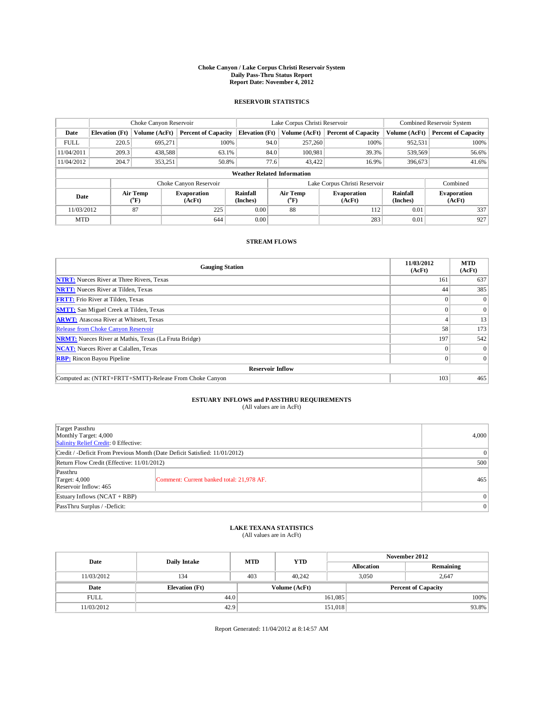### **Choke Canyon / Lake Corpus Christi Reservoir System Daily Pass-Thru Status Report Report Date: November 4, 2012**

#### **RESERVOIR STATISTICS**

|             | Choke Canyon Reservoir |                  |                              |                                    | Lake Corpus Christi Reservoir |                                     |                              |                             | Combined Reservoir System    |  |  |
|-------------|------------------------|------------------|------------------------------|------------------------------------|-------------------------------|-------------------------------------|------------------------------|-----------------------------|------------------------------|--|--|
| Date        | <b>Elevation</b> (Ft)  | Volume (AcFt)    | <b>Percent of Capacity</b>   | <b>Elevation</b> (Ft)              |                               | Volume (AcFt)                       | <b>Percent of Capacity</b>   | Volume (AcFt)               | <b>Percent of Capacity</b>   |  |  |
| <b>FULL</b> | 220.5                  | 695,271          | 100%                         |                                    | 94.0                          | 257,260                             | 100%                         | 952,531                     | 100%                         |  |  |
| 11/04/2011  | 209.3                  | 438,588          | 63.1%                        |                                    | 84.0                          | 100,981                             | 39.3%                        | 539,569                     | 56.6%                        |  |  |
| 11/04/2012  | 204.7                  | 353,251          | 50.8%                        |                                    | 77.6                          | 43,422                              | 16.9%                        | 396,673                     | 41.6%                        |  |  |
|             |                        |                  |                              | <b>Weather Related Information</b> |                               |                                     |                              |                             |                              |  |  |
|             |                        |                  | Choke Canyon Reservoir       |                                    | Lake Corpus Christi Reservoir |                                     |                              |                             | Combined                     |  |  |
| Date        |                        | Air Temp<br>(°F) | <b>Evaporation</b><br>(AcFt) | Rainfall<br>(Inches)               |                               | <b>Air Temp</b><br>$\rm ^{(^o}\!F)$ | <b>Evaporation</b><br>(AcFt) | <b>Rainfall</b><br>(Inches) | <b>Evaporation</b><br>(AcFt) |  |  |
| 11/03/2012  |                        | 87               | 225                          | 0.00                               |                               | 88                                  | 112                          | 0.01                        | 337                          |  |  |
| <b>MTD</b>  |                        |                  | 644                          | 0.00                               |                               |                                     | 283                          | 0.01                        | 927                          |  |  |

#### **STREAM FLOWS**

| <b>Gauging Station</b>                                       | 11/03/2012<br>(AcFt) | <b>MTD</b><br>(AcFt) |
|--------------------------------------------------------------|----------------------|----------------------|
| <b>NTRT:</b> Nueces River at Three Rivers, Texas             | 161                  | 637                  |
| <b>NRTT:</b> Nueces River at Tilden, Texas                   | 44                   | 385                  |
| <b>FRTT:</b> Frio River at Tilden, Texas                     |                      | $\mathbf{0}$         |
| <b>SMTT:</b> San Miguel Creek at Tilden, Texas               |                      | $\theta$             |
| <b>ARWT:</b> Atascosa River at Whitsett, Texas               |                      | 13                   |
| Release from Choke Canyon Reservoir                          | 58                   | 173                  |
| <b>NRMT:</b> Nueces River at Mathis, Texas (La Fruta Bridge) | 197                  | 542                  |
| <b>NCAT:</b> Nueces River at Calallen, Texas                 | $\Omega$             | $\Omega$             |
| <b>RBP:</b> Rincon Bayou Pipeline                            |                      | $\Omega$             |
| <b>Reservoir Inflow</b>                                      |                      |                      |
| Computed as: (NTRT+FRTT+SMTT)-Release From Choke Canyon      | 103                  | 465                  |

# **ESTUARY INFLOWS and PASSTHRU REQUIREMENTS**<br>(All values are in AcFt)

| Target Passthru<br>Monthly Target: 4,000<br>Salinity Relief Credit: 0 Effective: |                                           |                |  |  |  |
|----------------------------------------------------------------------------------|-------------------------------------------|----------------|--|--|--|
| Credit / -Deficit From Previous Month (Date Deficit Satisfied: 11/01/2012)       |                                           |                |  |  |  |
| Return Flow Credit (Effective: 11/01/2012)                                       |                                           |                |  |  |  |
| Passthru<br>Target: $4,000$<br>Reservoir Inflow: 465                             | Comment: Current banked total: 21,978 AF. | 465            |  |  |  |
| Estuary Inflows $(NCAT + RBP)$                                                   |                                           |                |  |  |  |
| PassThru Surplus / -Deficit:                                                     |                                           | 0 <sup>1</sup> |  |  |  |

# **LAKE TEXANA STATISTICS** (All values are in AcFt)

| Date        | Daily Intake          | <b>MTD</b> | <b>YTD</b>    | November 2012 |                            |           |         |
|-------------|-----------------------|------------|---------------|---------------|----------------------------|-----------|---------|
|             |                       |            |               |               | <b>Allocation</b>          | Remaining |         |
| 11/03/2012  | 134                   | 403        | 40.242        |               | 3.050                      | 2.647     |         |
| Date        | <b>Elevation</b> (Ft) |            | Volume (AcFt) |               | <b>Percent of Capacity</b> |           |         |
| <b>FULL</b> | 44.0                  |            |               | 161,085       |                            |           | $100\%$ |
| 11/03/2012  | 42.9                  |            |               | 151,018       |                            |           | 93.8%   |

Report Generated: 11/04/2012 at 8:14:57 AM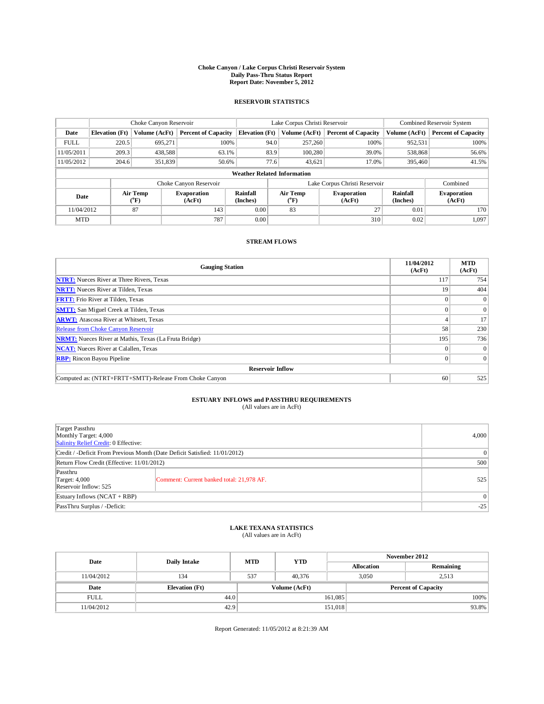### **Choke Canyon / Lake Corpus Christi Reservoir System Daily Pass-Thru Status Report Report Date: November 5, 2012**

#### **RESERVOIR STATISTICS**

|             |                       | Choke Canyon Reservoir |                              |                                    | Lake Corpus Christi Reservoir             | Combined Reservoir System    |                      |                              |
|-------------|-----------------------|------------------------|------------------------------|------------------------------------|-------------------------------------------|------------------------------|----------------------|------------------------------|
| Date        | <b>Elevation</b> (Ft) | Volume (AcFt)          | <b>Percent of Capacity</b>   | <b>Elevation</b> (Ft)              | Volume (AcFt)                             | <b>Percent of Capacity</b>   | Volume (AcFt)        | <b>Percent of Capacity</b>   |
| <b>FULL</b> | 220.5                 | 695,271                | 100%                         | 94.0                               | 257,260                                   | 100%                         | 952,531              | 100%                         |
| 11/05/2011  | 209.3                 | 438,588                | 63.1%                        | 83.9                               | 100.280                                   | 39.0%                        | 538,868              | 56.6%                        |
| 11/05/2012  | 204.6                 | 351,839                | 50.6%                        | 77.6                               | 43,621                                    | 17.0%                        | 395,460              | 41.5%                        |
|             |                       |                        |                              | <b>Weather Related Information</b> |                                           |                              |                      |                              |
|             |                       |                        | Choke Canyon Reservoir       |                                    | Lake Corpus Christi Reservoir<br>Combined |                              |                      |                              |
| Date        |                       | Air Temp<br>(°F)       | <b>Evaporation</b><br>(AcFt) | Rainfall<br>(Inches)               | Air Temp<br>$\rm ^{(^oF)}$                | <b>Evaporation</b><br>(AcFt) | Rainfall<br>(Inches) | <b>Evaporation</b><br>(AcFt) |
| 11/04/2012  |                       | 87                     | 143                          | 0.00                               | 83                                        | 27                           | 0.01                 | 170                          |
| <b>MTD</b>  |                       |                        | 787                          | 0.00                               |                                           | 310                          | 0.02                 | 1,097                        |

#### **STREAM FLOWS**

| <b>Gauging Station</b>                                       | 11/04/2012<br>(AcFt) | <b>MTD</b><br>(AcFt) |
|--------------------------------------------------------------|----------------------|----------------------|
| <b>NTRT:</b> Nueces River at Three Rivers, Texas             | 117                  | 754                  |
| <b>NRTT:</b> Nueces River at Tilden, Texas                   | 19                   | 404                  |
| <b>FRTT:</b> Frio River at Tilden, Texas                     |                      | $\Omega$             |
| <b>SMTT:</b> San Miguel Creek at Tilden, Texas               |                      | $\theta$             |
| <b>ARWT:</b> Atascosa River at Whitsett, Texas               |                      | 17                   |
| <b>Release from Choke Canyon Reservoir</b>                   | 58                   | 230                  |
| <b>NRMT:</b> Nueces River at Mathis, Texas (La Fruta Bridge) | 195                  | 736                  |
| <b>NCAT:</b> Nueces River at Calallen, Texas                 | $\Omega$             | $\theta$             |
| <b>RBP:</b> Rincon Bayou Pipeline                            | $\Omega$             | $\Omega$             |
| <b>Reservoir Inflow</b>                                      |                      |                      |
| Computed as: (NTRT+FRTT+SMTT)-Release From Choke Canyon      | 60                   | 525                  |

### **ESTUARY INFLOWS and PASSTHRU REQUIREMENTS**

| (All values are in AcFt) |  |
|--------------------------|--|
|                          |  |

| Target Passthru<br>Monthly Target: 4,000<br>Salinity Relief Credit: 0 Effective: |                                           |       |  |  |  |
|----------------------------------------------------------------------------------|-------------------------------------------|-------|--|--|--|
| Credit / -Deficit From Previous Month (Date Deficit Satisfied: 11/01/2012)       |                                           |       |  |  |  |
| Return Flow Credit (Effective: 11/01/2012)                                       |                                           |       |  |  |  |
| Passthru<br>Target: 4,000<br>Reservoir Inflow: 525                               | Comment: Current banked total: 21,978 AF. | 525   |  |  |  |
| Estuary Inflows $(NCAT + RBP)$                                                   |                                           |       |  |  |  |
| PassThru Surplus / -Deficit:                                                     |                                           | $-25$ |  |  |  |

### **LAKE TEXANA STATISTICS** (All values are in AcFt)

| Date        |                       | <b>MTD</b> | <b>YTD</b>    | November 2012 |                            |           |  |
|-------------|-----------------------|------------|---------------|---------------|----------------------------|-----------|--|
|             | <b>Daily Intake</b>   |            |               |               | <b>Allocation</b>          | Remaining |  |
| 11/04/2012  | 134                   | 537        | 40,376        |               | 3,050                      | 2,513     |  |
| Date        | <b>Elevation</b> (Ft) |            | Volume (AcFt) |               | <b>Percent of Capacity</b> |           |  |
| <b>FULL</b> | 44.0                  |            |               | 161,085       |                            | 100%      |  |
| 11/04/2012  | 42.9                  |            |               | 151,018       |                            | 93.8%     |  |

Report Generated: 11/05/2012 at 8:21:39 AM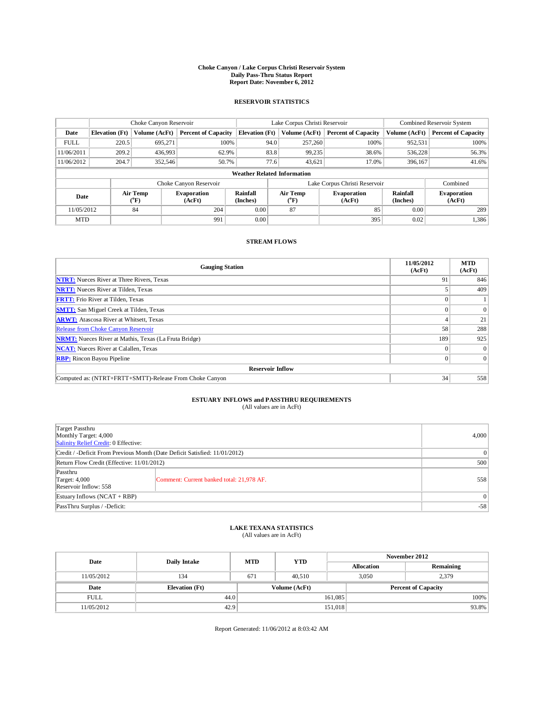### **Choke Canyon / Lake Corpus Christi Reservoir System Daily Pass-Thru Status Report Report Date: November 6, 2012**

#### **RESERVOIR STATISTICS**

|             | Choke Canyon Reservoir |                  |                              |                                    | Lake Corpus Christi Reservoir |                  |                              |                             | Combined Reservoir System    |  |  |
|-------------|------------------------|------------------|------------------------------|------------------------------------|-------------------------------|------------------|------------------------------|-----------------------------|------------------------------|--|--|
| Date        | <b>Elevation</b> (Ft)  | Volume (AcFt)    | <b>Percent of Capacity</b>   | <b>Elevation</b> (Ft)              |                               | Volume (AcFt)    | <b>Percent of Capacity</b>   | Volume (AcFt)               | <b>Percent of Capacity</b>   |  |  |
| <b>FULL</b> | 220.5                  | 695,271          | 100%                         |                                    | 94.0                          | 257,260          | 100%                         | 952,531                     | 100%                         |  |  |
| 11/06/2011  | 209.2                  | 436,993          | 62.9%                        |                                    | 83.8                          | 99,235           | 38.6%                        | 536,228                     | 56.3%                        |  |  |
| 11/06/2012  | 204.7                  | 352,546          | 50.7%                        |                                    | 77.6                          | 43,621           | 17.0%                        | 396,167                     | 41.6%                        |  |  |
|             |                        |                  |                              | <b>Weather Related Information</b> |                               |                  |                              |                             |                              |  |  |
|             |                        |                  | Choke Canyon Reservoir       |                                    | Lake Corpus Christi Reservoir |                  |                              |                             | Combined                     |  |  |
| Date        |                        | Air Temp<br>(°F) | <b>Evaporation</b><br>(AcFt) | <b>Rainfall</b><br>(Inches)        |                               | Air Temp<br>(°F) | <b>Evaporation</b><br>(AcFt) | <b>Rainfall</b><br>(Inches) | <b>Evaporation</b><br>(AcFt) |  |  |
| 11/05/2012  |                        | 84               | 204                          | 0.00                               |                               | 87               | 85                           | 0.00                        | 289                          |  |  |
| <b>MTD</b>  |                        |                  | 991                          | 0.00                               |                               |                  | 395                          | 0.02                        | 1,386                        |  |  |

#### **STREAM FLOWS**

| <b>Gauging Station</b>                                       | 11/05/2012<br>(AcFt) | <b>MTD</b><br>(AcFt) |
|--------------------------------------------------------------|----------------------|----------------------|
| <b>NTRT:</b> Nueces River at Three Rivers, Texas             | 91                   | 846                  |
| <b>NRTT:</b> Nueces River at Tilden, Texas                   |                      | 409                  |
| <b>FRTT:</b> Frio River at Tilden, Texas                     |                      |                      |
| <b>SMTT:</b> San Miguel Creek at Tilden, Texas               |                      | $\theta$             |
| <b>ARWT:</b> Atascosa River at Whitsett, Texas               |                      | 21                   |
| <b>Release from Choke Canyon Reservoir</b>                   | 58                   | 288                  |
| <b>NRMT:</b> Nueces River at Mathis, Texas (La Fruta Bridge) | 189                  | 925                  |
| <b>NCAT:</b> Nueces River at Calallen, Texas                 | $\Omega$             | $\theta$             |
| <b>RBP:</b> Rincon Bayou Pipeline                            | $\Omega$             | $\Omega$             |
| <b>Reservoir Inflow</b>                                      |                      |                      |
| Computed as: (NTRT+FRTT+SMTT)-Release From Choke Canyon      | 34                   | 558                  |

# **ESTUARY INFLOWS and PASSTHRU REQUIREMENTS**<br>(All values are in AcFt)

| Target Passthru<br>Monthly Target: 4,000<br>Salinity Relief Credit: 0 Effective: |                                           |     |  |
|----------------------------------------------------------------------------------|-------------------------------------------|-----|--|
| Credit / -Deficit From Previous Month (Date Deficit Satisfied: 11/01/2012)       | $\vert 0 \vert$                           |     |  |
| Return Flow Credit (Effective: 11/01/2012)                                       | 500                                       |     |  |
| Passthru<br>Target: $4,000$<br>Reservoir Inflow: 558                             | Comment: Current banked total: 21,978 AF. | 558 |  |
| Estuary Inflows $(NCAT + RBP)$                                                   | 0 <sup>1</sup>                            |     |  |
| PassThru Surplus / -Deficit:                                                     | $-58$                                     |     |  |

# **LAKE TEXANA STATISTICS** (All values are in AcFt)

|                    |                       | <b>MTD</b><br>Daily Intake |               | November 2012 |                |                            |  |
|--------------------|-----------------------|----------------------------|---------------|---------------|----------------|----------------------------|--|
| <b>YTD</b><br>Date |                       | <b>Allocation</b>          | Remaining     |               |                |                            |  |
| 11/05/2012         | 134                   | 671                        | 40.510        |               | 3.050<br>2,379 |                            |  |
| Date               | <b>Elevation</b> (Ft) |                            | Volume (AcFt) |               |                | <b>Percent of Capacity</b> |  |
| <b>FULL</b>        | 44.0                  |                            |               | 161,085       |                | $100\%$                    |  |
| 11/05/2012         | 42.9                  |                            |               | 151,018       |                | 93.8%                      |  |

Report Generated: 11/06/2012 at 8:03:42 AM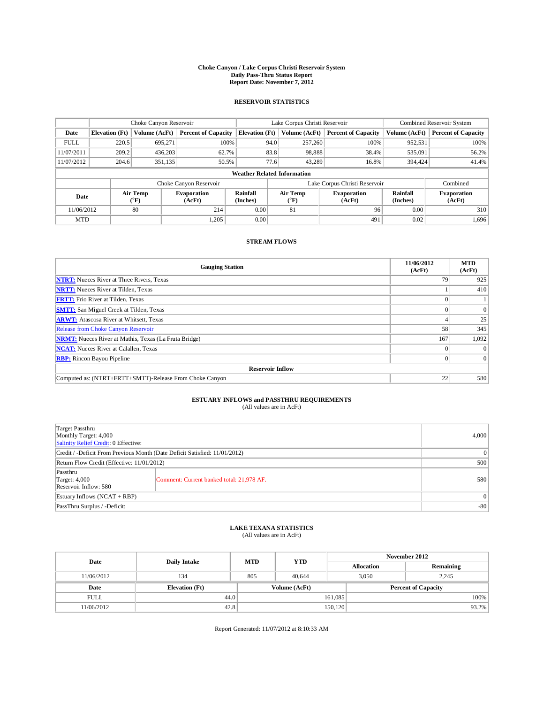### **Choke Canyon / Lake Corpus Christi Reservoir System Daily Pass-Thru Status Report Report Date: November 7, 2012**

#### **RESERVOIR STATISTICS**

|             | Choke Canyon Reservoir             |                              | Lake Corpus Christi Reservoir |                             |      |                                                         | Combined Reservoir System     |                             |                              |
|-------------|------------------------------------|------------------------------|-------------------------------|-----------------------------|------|---------------------------------------------------------|-------------------------------|-----------------------------|------------------------------|
| Date        | <b>Elevation</b> (Ft)              | Volume (AcFt)                | <b>Percent of Capacity</b>    | <b>Elevation</b> (Ft)       |      | Volume (AcFt)                                           | <b>Percent of Capacity</b>    | Volume (AcFt)               | <b>Percent of Capacity</b>   |
| <b>FULL</b> | 220.5                              | 695,271                      | 100%                          |                             | 94.0 | 257,260                                                 | 100%                          | 952,531                     | 100%                         |
| 11/07/2011  | 209.2                              | 436,203                      | 62.7%                         |                             | 83.8 | 98,888                                                  | 38.4%                         | 535,091                     | 56.2%                        |
| 11/07/2012  | 204.6                              | 351,135                      | 50.5%                         |                             | 77.6 | 43,289                                                  | 16.8%                         | 394,424                     | 41.4%                        |
|             | <b>Weather Related Information</b> |                              |                               |                             |      |                                                         |                               |                             |                              |
|             |                                    |                              | Choke Canyon Reservoir        |                             |      |                                                         | Lake Corpus Christi Reservoir |                             | Combined                     |
| Date        |                                    | Air Temp<br>$({}^0\text{F})$ | <b>Evaporation</b><br>(AcFt)  | <b>Rainfall</b><br>(Inches) |      | <b>Air Temp</b><br><b>Evaporation</b><br>(°F)<br>(AcFt) |                               | <b>Rainfall</b><br>(Inches) | <b>Evaporation</b><br>(AcFt) |
| 11/06/2012  |                                    | 80                           | 214                           | 0.00                        |      |                                                         | 96                            | 0.00                        | 310                          |
| <b>MTD</b>  |                                    |                              | 1.205                         | 0.00                        |      |                                                         | 491                           | 0.02                        | 1,696                        |

#### **STREAM FLOWS**

| <b>Gauging Station</b>                                       | 11/06/2012<br>(AcFt) | <b>MTD</b><br>(AcFt) |  |  |  |  |
|--------------------------------------------------------------|----------------------|----------------------|--|--|--|--|
| <b>NTRT:</b> Nueces River at Three Rivers, Texas             | 79                   | 925                  |  |  |  |  |
| <b>NRTT:</b> Nueces River at Tilden, Texas                   |                      | 410                  |  |  |  |  |
| <b>FRTT:</b> Frio River at Tilden, Texas                     |                      |                      |  |  |  |  |
| <b>SMTT:</b> San Miguel Creek at Tilden, Texas               |                      | $\theta$             |  |  |  |  |
| <b>ARWT:</b> Atascosa River at Whitsett, Texas               |                      | 25                   |  |  |  |  |
| Release from Choke Canyon Reservoir                          | 58                   | 345                  |  |  |  |  |
| <b>NRMT:</b> Nueces River at Mathis, Texas (La Fruta Bridge) | 167                  | 1,092                |  |  |  |  |
| <b>NCAT:</b> Nueces River at Calallen, Texas                 | $\Omega$             | $\theta$             |  |  |  |  |
| <b>RBP:</b> Rincon Bayou Pipeline                            | $\Omega$             | $\Omega$             |  |  |  |  |
| <b>Reservoir Inflow</b>                                      |                      |                      |  |  |  |  |
| Computed as: (NTRT+FRTT+SMTT)-Release From Choke Canyon      | 22                   | 580                  |  |  |  |  |

### **ESTUARY INFLOWS and PASSTHRU REQUIREMENTS**

| Target Passthru<br>Monthly Target: 4,000<br>Salinity Relief Credit: 0 Effective: |                                           |     |  |  |  |
|----------------------------------------------------------------------------------|-------------------------------------------|-----|--|--|--|
| Credit / -Deficit From Previous Month (Date Deficit Satisfied: 11/01/2012)       |                                           |     |  |  |  |
| Return Flow Credit (Effective: 11/01/2012)                                       |                                           |     |  |  |  |
| Passthru<br>Target: 4,000<br>Reservoir Inflow: 580                               | Comment: Current banked total: 21,978 AF. | 580 |  |  |  |
| Estuary Inflows $(NCAT + RBP)$                                                   |                                           |     |  |  |  |
| PassThru Surplus / -Deficit:                                                     | $-80$                                     |     |  |  |  |

# **LAKE TEXANA STATISTICS** (All values are in AcFt)

|             | <b>YTD</b><br>Date<br><b>MTD</b><br><b>Daily Intake</b> |     |                   | November 2012              |                |       |  |
|-------------|---------------------------------------------------------|-----|-------------------|----------------------------|----------------|-------|--|
|             |                                                         |     | <b>Allocation</b> | Remaining                  |                |       |  |
| 11/06/2012  | 134                                                     | 805 | 40.644            |                            | 3.050<br>2.245 |       |  |
| Date        | <b>Elevation</b> (Ft)                                   |     | Volume (AcFt)     | <b>Percent of Capacity</b> |                |       |  |
| <b>FULL</b> | 44.0                                                    |     |                   | 161,085                    |                | 100%  |  |
| 11/06/2012  | 42.8                                                    |     |                   | 150,120                    |                | 93.2% |  |

Report Generated: 11/07/2012 at 8:10:33 AM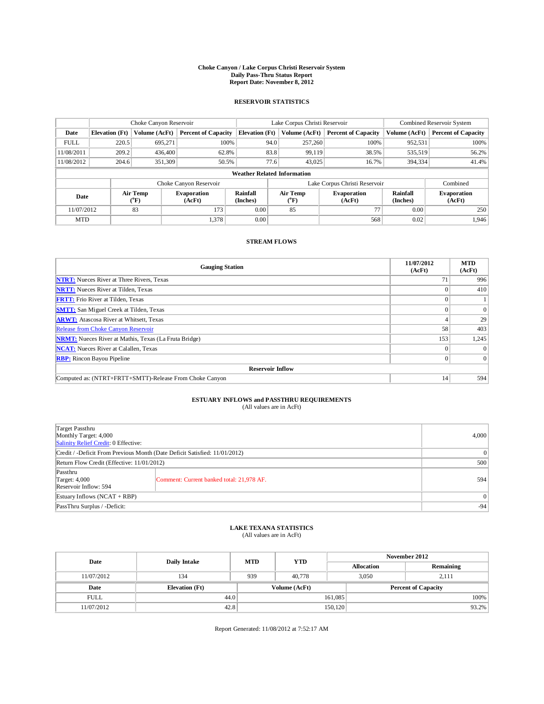### **Choke Canyon / Lake Corpus Christi Reservoir System Daily Pass-Thru Status Report Report Date: November 8, 2012**

#### **RESERVOIR STATISTICS**

|             | Choke Canyon Reservoir             |                              | Lake Corpus Christi Reservoir |                             |      |                                                  | Combined Reservoir System     |                             |                              |
|-------------|------------------------------------|------------------------------|-------------------------------|-----------------------------|------|--------------------------------------------------|-------------------------------|-----------------------------|------------------------------|
| Date        | <b>Elevation</b> (Ft)              | Volume (AcFt)                | <b>Percent of Capacity</b>    | <b>Elevation</b> (Ft)       |      | Volume (AcFt)                                    | <b>Percent of Capacity</b>    | Volume (AcFt)               | <b>Percent of Capacity</b>   |
| <b>FULL</b> | 220.5                              | 695,271                      | 100%                          |                             | 94.0 | 257,260                                          | 100%                          | 952,531                     | 100%                         |
| 11/08/2011  | 209.2                              | 436,400                      | 62.8%                         |                             | 83.8 | 99,119                                           | 38.5%                         | 535,519                     | 56.2%                        |
| 11/08/2012  | 204.6                              | 351,309                      | 50.5%                         |                             | 77.6 | 43,025                                           | 16.7%                         | 394,334                     | 41.4%                        |
|             | <b>Weather Related Information</b> |                              |                               |                             |      |                                                  |                               |                             |                              |
|             |                                    |                              | Choke Canyon Reservoir        |                             |      |                                                  | Lake Corpus Christi Reservoir |                             | Combined                     |
| Date        |                                    | Air Temp<br>$({}^0\text{F})$ | <b>Evaporation</b><br>(AcFt)  | <b>Rainfall</b><br>(Inches) |      | Air Temp<br><b>Evaporation</b><br>(°F)<br>(AcFt) |                               | <b>Rainfall</b><br>(Inches) | <b>Evaporation</b><br>(AcFt) |
| 11/07/2012  |                                    | 83                           | 173                           | 0.00                        |      | 85                                               | 77                            | 0.00                        | 250                          |
| <b>MTD</b>  |                                    |                              | 1.378                         | 0.00                        |      |                                                  | 568                           | 0.02                        | 1.946                        |

#### **STREAM FLOWS**

| <b>Gauging Station</b>                                       | 11/07/2012<br>(AcFt) | <b>MTD</b><br>(AcFt) |  |  |  |  |
|--------------------------------------------------------------|----------------------|----------------------|--|--|--|--|
| <b>NTRT:</b> Nueces River at Three Rivers, Texas             | 71                   | 996                  |  |  |  |  |
| <b>NRTT:</b> Nueces River at Tilden, Texas                   |                      | 410                  |  |  |  |  |
| <b>FRTT:</b> Frio River at Tilden, Texas                     |                      |                      |  |  |  |  |
| <b>SMTT:</b> San Miguel Creek at Tilden, Texas               |                      | $\theta$             |  |  |  |  |
| <b>ARWT:</b> Atascosa River at Whitsett, Texas               |                      | 29                   |  |  |  |  |
| Release from Choke Canyon Reservoir                          | 58                   | 403                  |  |  |  |  |
| <b>NRMT:</b> Nueces River at Mathis, Texas (La Fruta Bridge) | 153                  | 1,245                |  |  |  |  |
| <b>NCAT:</b> Nueces River at Calallen, Texas                 | $\Omega$             | $\theta$             |  |  |  |  |
| <b>RBP:</b> Rincon Bayou Pipeline                            |                      | $\Omega$             |  |  |  |  |
| <b>Reservoir Inflow</b>                                      |                      |                      |  |  |  |  |
| Computed as: (NTRT+FRTT+SMTT)-Release From Choke Canyon      | 14                   | 594                  |  |  |  |  |

# **ESTUARY INFLOWS and PASSTHRU REQUIREMENTS**<br>(All values are in AcFt)

| Target Passthru<br>Monthly Target: 4,000<br>Salinity Relief Credit: 0 Effective: | 4,000                                     |     |
|----------------------------------------------------------------------------------|-------------------------------------------|-----|
| Credit / -Deficit From Previous Month (Date Deficit Satisfied: 11/01/2012)       | $\vert 0 \vert$                           |     |
| Return Flow Credit (Effective: 11/01/2012)                                       | 500                                       |     |
| Passthru<br>Target: $4,000$<br>Reservoir Inflow: 594                             | Comment: Current banked total: 21,978 AF. | 594 |
| Estuary Inflows $(NCAT + RBP)$                                                   | 0 <sup>1</sup>                            |     |
| PassThru Surplus / -Deficit:                                                     | $-94$                                     |     |

# **LAKE TEXANA STATISTICS** (All values are in AcFt)

| Date        | Daily Intake          | <b>MTD</b> | <b>YTD</b>                                  | November 2012 |                   |           |          |
|-------------|-----------------------|------------|---------------------------------------------|---------------|-------------------|-----------|----------|
|             |                       |            |                                             |               | <b>Allocation</b> | Remaining |          |
| 11/07/2012  | 134                   | 939        | 40,778                                      |               | 3.050<br>2.111    |           |          |
| Date        | <b>Elevation</b> (Ft) |            | Volume (AcFt)<br><b>Percent of Capacity</b> |               |                   |           |          |
| <b>FULL</b> | 44.0                  |            |                                             | 161,085       |                   |           | $100\%$  |
| 11/07/2012  | 42.8                  |            |                                             | 150, 120      |                   |           | $93.2\%$ |

Report Generated: 11/08/2012 at 7:52:17 AM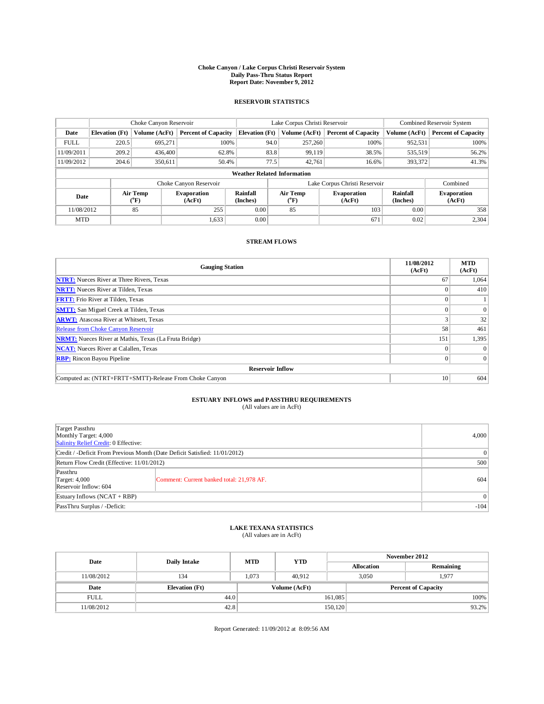### **Choke Canyon / Lake Corpus Christi Reservoir System Daily Pass-Thru Status Report Report Date: November 9, 2012**

#### **RESERVOIR STATISTICS**

|             |                                    | Choke Canyon Reservoir      |                              |                             | Lake Corpus Christi Reservoir                           | Combined Reservoir System     |                             |                              |  |
|-------------|------------------------------------|-----------------------------|------------------------------|-----------------------------|---------------------------------------------------------|-------------------------------|-----------------------------|------------------------------|--|
| Date        | <b>Elevation</b> (Ft)              | Volume (AcFt)               | <b>Percent of Capacity</b>   | <b>Elevation</b> (Ft)       | Volume (AcFt)                                           | <b>Percent of Capacity</b>    | Volume (AcFt)               | <b>Percent of Capacity</b>   |  |
| <b>FULL</b> | 220.5                              | 695,271                     | 100%                         | 94.0                        | 257,260                                                 | 100%                          | 952,531                     | 100%                         |  |
| 11/09/2011  | 209.2                              | 436,400                     | 62.8%                        | 83.8                        | 99,119                                                  | 38.5%                         | 535,519                     | 56.2%                        |  |
| 11/09/2012  | 204.6                              | 350.611                     | 50.4%                        | 77.5                        | 42,761                                                  | 16.6%                         | 393,372                     | 41.3%                        |  |
|             | <b>Weather Related Information</b> |                             |                              |                             |                                                         |                               |                             |                              |  |
|             |                                    |                             | Choke Canyon Reservoir       |                             |                                                         | Lake Corpus Christi Reservoir |                             | Combined                     |  |
| Date        |                                    | Air Temp<br>${}^{\circ}$ F) | <b>Evaporation</b><br>(AcFt) | <b>Rainfall</b><br>(Inches) | <b>Air Temp</b><br><b>Evaporation</b><br>(°F)<br>(AcFt) |                               | <b>Rainfall</b><br>(Inches) | <b>Evaporation</b><br>(AcFt) |  |
| 11/08/2012  |                                    | 85                          | 255                          | 0.00                        | 85                                                      | 103                           | 0.00                        | 358                          |  |
| <b>MTD</b>  |                                    |                             | 1,633                        | 0.00                        |                                                         | 671                           | 0.02                        | 2,304                        |  |

#### **STREAM FLOWS**

| <b>Gauging Station</b>                                       | 11/08/2012<br>(AcFt) | <b>MTD</b><br>(AcFt) |
|--------------------------------------------------------------|----------------------|----------------------|
| <b>NTRT:</b> Nueces River at Three Rivers, Texas             | 67                   | 1,064                |
| <b>NRTT:</b> Nueces River at Tilden, Texas                   |                      | 410                  |
| <b>FRTT:</b> Frio River at Tilden, Texas                     |                      |                      |
| <b>SMTT:</b> San Miguel Creek at Tilden, Texas               |                      | $\theta$             |
| <b>ARWT:</b> Atascosa River at Whitsett, Texas               |                      | 32                   |
| Release from Choke Canyon Reservoir                          | 58                   | 461                  |
| <b>NRMT:</b> Nueces River at Mathis, Texas (La Fruta Bridge) | 151                  | 1,395                |
| <b>NCAT:</b> Nueces River at Calallen, Texas                 | $\Omega$             | $\theta$             |
| <b>RBP:</b> Rincon Bayou Pipeline                            | $\Omega$             | $\Omega$             |
| <b>Reservoir Inflow</b>                                      |                      |                      |
| Computed as: (NTRT+FRTT+SMTT)-Release From Choke Canyon      | 10                   | 604                  |

# **ESTUARY INFLOWS and PASSTHRU REQUIREMENTS**<br>(All values are in AcFt)

| Target Passthru<br>Monthly Target: 4,000<br>Salinity Relief Credit: 0 Effective: |                                           |        |  |  |
|----------------------------------------------------------------------------------|-------------------------------------------|--------|--|--|
| Credit / -Deficit From Previous Month (Date Deficit Satisfied: 11/01/2012)       | $\vert 0 \vert$                           |        |  |  |
| Return Flow Credit (Effective: 11/01/2012)                                       | 500                                       |        |  |  |
| Passthru<br>Target: $4,000$<br>Reservoir Inflow: 604                             | Comment: Current banked total: 21,978 AF. | 604    |  |  |
| Estuary Inflows $(NCAT + RBP)$                                                   |                                           |        |  |  |
| PassThru Surplus / -Deficit:                                                     |                                           | $-104$ |  |  |

# **LAKE TEXANA STATISTICS** (All values are in AcFt)

| Date<br>Daily Intake |                       | <b>MTD</b> | <b>YTD</b>    | November 2012              |           |       |          |
|----------------------|-----------------------|------------|---------------|----------------------------|-----------|-------|----------|
|                      |                       |            |               | <b>Allocation</b>          | Remaining |       |          |
| 11/08/2012           | 134                   | 1.073      | 40.912        |                            | 3.050     | 1,977 |          |
| Date                 | <b>Elevation</b> (Ft) |            | Volume (AcFt) | <b>Percent of Capacity</b> |           |       |          |
| <b>FULL</b>          | 44.0                  |            |               | 161,085                    |           |       | $100\%$  |
| 11/08/2012           | 42.8                  |            |               | 150, 120                   |           |       | $93.2\%$ |

Report Generated: 11/09/2012 at 8:09:56 AM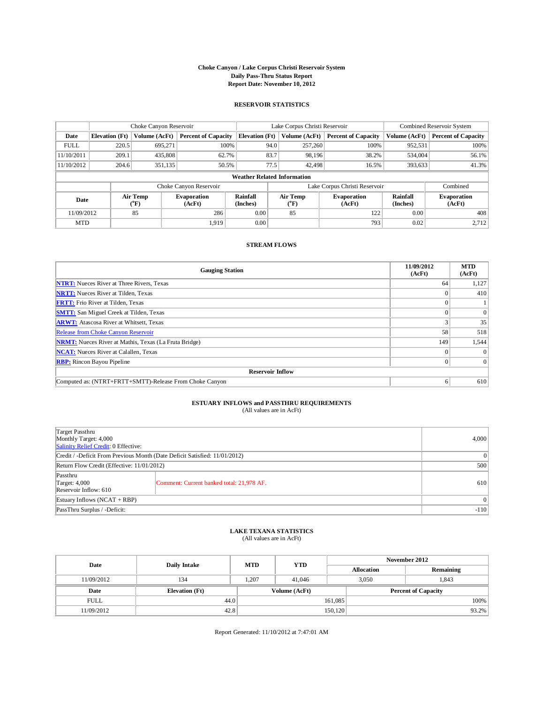#### **Choke Canyon / Lake Corpus Christi Reservoir System Daily Pass-Thru Status Report Report Date: November 10, 2012**

#### **RESERVOIR STATISTICS**

|             |                       | Choke Canyon Reservoir |                              |                                    | Lake Corpus Christi Reservoir                               | Combined Reservoir System     |                      |                              |
|-------------|-----------------------|------------------------|------------------------------|------------------------------------|-------------------------------------------------------------|-------------------------------|----------------------|------------------------------|
| Date        | <b>Elevation</b> (Ft) | Volume (AcFt)          | <b>Percent of Capacity</b>   | <b>Elevation</b> (Ft)              | Volume (AcFt)                                               | <b>Percent of Capacity</b>    | Volume (AcFt)        | <b>Percent of Capacity</b>   |
| <b>FULL</b> | 220.5                 | 695,271                | 100%                         | 94.0                               | 257,260                                                     | 100%                          | 952,531              | 100%                         |
| 11/10/2011  | 209.1                 | 435,808                | 62.7%                        | 83.7                               | 98,196                                                      | 38.2%                         | 534,004              | 56.1%                        |
| 11/10/2012  | 204.6                 | 351,135                | 50.5%                        | 77.5                               | 42,498                                                      | 16.5%                         | 393,633              | 41.3%                        |
|             |                       |                        |                              | <b>Weather Related Information</b> |                                                             |                               |                      |                              |
|             |                       |                        | Choke Canyon Reservoir       |                                    |                                                             | Lake Corpus Christi Reservoir |                      | Combined                     |
| Date        |                       | Air Temp<br>(°F)       | <b>Evaporation</b><br>(AcFt) | Rainfall<br>(Inches)               | Air Temp<br><b>Evaporation</b><br>(AcFt)<br>${}^{\circ}$ F) |                               | Rainfall<br>(Inches) | <b>Evaporation</b><br>(AcFt) |
| 11/09/2012  |                       | 85                     | 286                          | 0.00                               | 85                                                          | 122<br>0.00                   |                      | 408                          |
| <b>MTD</b>  |                       |                        | 1.919                        | 0.00                               |                                                             | 793                           | 0.02                 | 2,712                        |

#### **STREAM FLOWS**

| <b>Gauging Station</b>                                       | 11/09/2012<br>(AcFt) | <b>MTD</b><br>(AcFt) |
|--------------------------------------------------------------|----------------------|----------------------|
| <b>NTRT:</b> Nueces River at Three Rivers, Texas             | 64                   | 1,127                |
| <b>NRTT:</b> Nueces River at Tilden, Texas                   |                      | 410                  |
| <b>FRTT:</b> Frio River at Tilden, Texas                     |                      |                      |
| <b>SMTT:</b> San Miguel Creek at Tilden, Texas               |                      | $\theta$             |
| <b>ARWT:</b> Atascosa River at Whitsett, Texas               |                      | 35                   |
| Release from Choke Canyon Reservoir                          | 58                   | 518                  |
| <b>NRMT:</b> Nueces River at Mathis, Texas (La Fruta Bridge) | 149                  | 1,544                |
| <b>NCAT:</b> Nueces River at Calallen, Texas                 |                      | $\Omega$             |
| <b>RBP:</b> Rincon Bayou Pipeline                            | $\Omega$             | $\Omega$             |
| <b>Reservoir Inflow</b>                                      |                      |                      |
| Computed as: (NTRT+FRTT+SMTT)-Release From Choke Canyon      | 6                    | 610                  |

### **ESTUARY INFLOWS and PASSTHRU REQUIREMENTS**

(All values are in AcFt)

| Target Passthru<br>Monthly Target: 4,000<br>Salinity Relief Credit: 0 Effective: |                                           |        |  |  |
|----------------------------------------------------------------------------------|-------------------------------------------|--------|--|--|
| Credit / -Deficit From Previous Month (Date Deficit Satisfied: 11/01/2012)       |                                           |        |  |  |
| Return Flow Credit (Effective: 11/01/2012)                                       |                                           |        |  |  |
| Passthru<br>Target: 4,000<br>Reservoir Inflow: 610                               | Comment: Current banked total: 21,978 AF. | 610    |  |  |
| Estuary Inflows $(NCAT + RBP)$                                                   |                                           |        |  |  |
| PassThru Surplus / -Deficit:                                                     |                                           | $-110$ |  |  |

#### **LAKE TEXANA STATISTICS** (All values are in AcFt)

| Date        | <b>Daily Intake</b>   | <b>MTD</b> | <b>YTD</b>    |                            | November 2012     |           |       |
|-------------|-----------------------|------------|---------------|----------------------------|-------------------|-----------|-------|
|             |                       |            |               |                            | <b>Allocation</b> | Remaining |       |
| 11/09/2012  | 134                   | 1,207      | 41,046        |                            | 3.050             | 1,843     |       |
| Date        | <b>Elevation</b> (Ft) |            | Volume (AcFt) | <b>Percent of Capacity</b> |                   |           |       |
| <b>FULL</b> | 44.0                  |            |               | 161,085                    |                   |           | 100%  |
| 11/09/2012  | 42.8                  |            |               | 150, 120                   |                   |           | 93.2% |

Report Generated: 11/10/2012 at 7:47:01 AM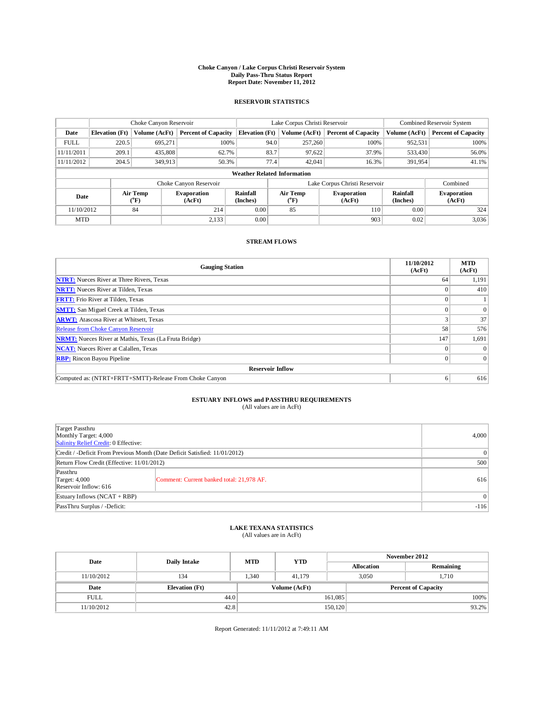### **Choke Canyon / Lake Corpus Christi Reservoir System Daily Pass-Thru Status Report Report Date: November 11, 2012**

#### **RESERVOIR STATISTICS**

|             |                       | Choke Canyon Reservoir |                              |                                    | Lake Corpus Christi Reservoir | Combined Reservoir System     |               |                              |
|-------------|-----------------------|------------------------|------------------------------|------------------------------------|-------------------------------|-------------------------------|---------------|------------------------------|
| Date        | <b>Elevation</b> (Ft) | Volume (AcFt)          | <b>Percent of Capacity</b>   | <b>Elevation</b> (Ft)              | Volume (AcFt)                 | <b>Percent of Capacity</b>    | Volume (AcFt) | <b>Percent of Capacity</b>   |
| <b>FULL</b> | 220.5                 | 695,271                | 100%                         | 94.0                               | 257,260                       | 100%                          | 952,531       | 100%                         |
| 11/11/2011  | 209.1                 | 435,808                | 62.7%                        | 83.7                               | 97,622                        | 37.9%                         | 533,430       | 56.0%                        |
| 11/11/2012  | 204.5                 | 349,913                | 50.3%                        | 77.4                               | 42,041                        | 16.3%                         | 391,954       | 41.1%                        |
|             |                       |                        |                              | <b>Weather Related Information</b> |                               |                               |               |                              |
|             |                       |                        | Choke Canyon Reservoir       |                                    |                               | Lake Corpus Christi Reservoir |               | Combined                     |
| Date        |                       | Air Temp<br>(°F)       | <b>Evaporation</b><br>(AcFt) | Rainfall<br>(Inches)               | Air Temp<br>$\rm ^{(^oF)}$    | <b>Evaporation</b><br>(AcFt)  |               | <b>Evaporation</b><br>(AcFt) |
| 11/10/2012  |                       | 84                     | 214                          | 0.00                               | 85                            | 110                           | 0.00          | 324                          |
| <b>MTD</b>  |                       |                        | 2,133                        | 0.00                               |                               | 903                           | 0.02          | 3,036                        |

#### **STREAM FLOWS**

| <b>Gauging Station</b>                                       | 11/10/2012<br>(AcFt) | <b>MTD</b><br>(AcFt) |
|--------------------------------------------------------------|----------------------|----------------------|
| <b>NTRT:</b> Nueces River at Three Rivers, Texas             | 64                   | 1,191                |
| <b>NRTT:</b> Nueces River at Tilden, Texas                   |                      | 410                  |
| <b>FRTT:</b> Frio River at Tilden, Texas                     |                      |                      |
| <b>SMTT:</b> San Miguel Creek at Tilden, Texas               |                      | $\theta$             |
| <b>ARWT:</b> Atascosa River at Whitsett, Texas               |                      | 37                   |
| Release from Choke Canyon Reservoir                          | 58                   | 576                  |
| <b>NRMT:</b> Nueces River at Mathis, Texas (La Fruta Bridge) | 147                  | 1,691                |
| <b>NCAT:</b> Nueces River at Calallen, Texas                 |                      | $\theta$             |
| <b>RBP:</b> Rincon Bayou Pipeline                            |                      | $\Omega$             |
| <b>Reservoir Inflow</b>                                      |                      |                      |
| Computed as: (NTRT+FRTT+SMTT)-Release From Choke Canyon      | 6                    | 616                  |

# **ESTUARY INFLOWS and PASSTHRU REQUIREMENTS**<br>(All values are in AcFt)

| Target Passthru<br>Monthly Target: 4,000<br>Salinity Relief Credit: 0 Effective: |                                           |        |  |
|----------------------------------------------------------------------------------|-------------------------------------------|--------|--|
| Credit / -Deficit From Previous Month (Date Deficit Satisfied: 11/01/2012)       | $\vert 0 \vert$                           |        |  |
| Return Flow Credit (Effective: 11/01/2012)                                       | 500                                       |        |  |
| Passthru<br>Target: $4,000$<br>Reservoir Inflow: 616                             | Comment: Current banked total: 21,978 AF. | 616    |  |
| Estuary Inflows $(NCAT + RBP)$                                                   | $\vert$ 0                                 |        |  |
| PassThru Surplus / -Deficit:                                                     |                                           | $-116$ |  |

# **LAKE TEXANA STATISTICS** (All values are in AcFt)

| <b>YTD</b><br><b>MTD</b><br>Date<br>Daily Intake |                       |      |                   | November 2012              |       |       |          |
|--------------------------------------------------|-----------------------|------|-------------------|----------------------------|-------|-------|----------|
|                                                  |                       |      | <b>Allocation</b> | Remaining                  |       |       |          |
| 11/10/2012                                       | 134                   | .340 | 41.179            |                            | 3.050 | 1,710 |          |
| Date                                             | <b>Elevation</b> (Ft) |      | Volume (AcFt)     | <b>Percent of Capacity</b> |       |       |          |
| <b>FULL</b>                                      | 44.0                  |      |                   | 161,085                    |       |       | $100\%$  |
| 11/10/2012                                       | 42.8                  |      |                   | 150, 120                   |       |       | $93.2\%$ |

Report Generated: 11/11/2012 at 7:49:11 AM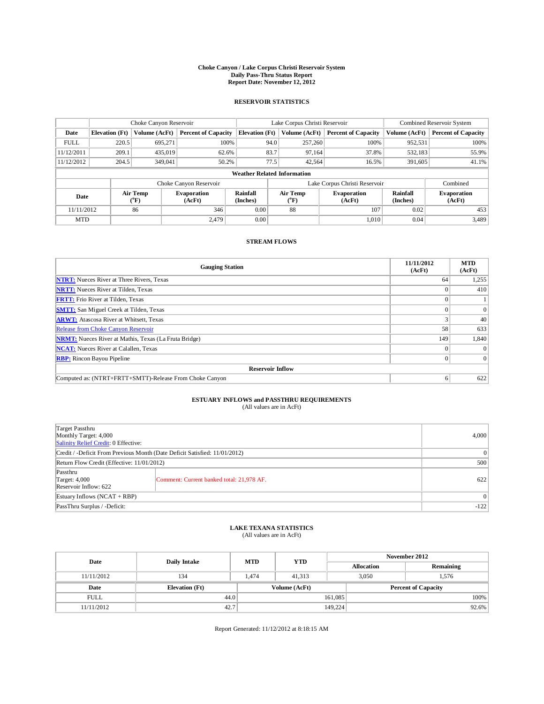### **Choke Canyon / Lake Corpus Christi Reservoir System Daily Pass-Thru Status Report Report Date: November 12, 2012**

#### **RESERVOIR STATISTICS**

|             |                       | Choke Canyon Reservoir |                              |                                    | Lake Corpus Christi Reservoir                              | Combined Reservoir System     |                             |                              |
|-------------|-----------------------|------------------------|------------------------------|------------------------------------|------------------------------------------------------------|-------------------------------|-----------------------------|------------------------------|
| Date        | <b>Elevation</b> (Ft) | Volume (AcFt)          | <b>Percent of Capacity</b>   | <b>Elevation</b> (Ft)              | Volume (AcFt)                                              | <b>Percent of Capacity</b>    | Volume (AcFt)               | <b>Percent of Capacity</b>   |
| <b>FULL</b> | 220.5                 | 695,271                | 100%                         | 94.0                               | 257,260                                                    | 100%                          | 952,531                     | 100%                         |
| 11/12/2011  | 209.1                 | 435,019                | 62.6%                        | 83.7                               | 97,164                                                     | 37.8%                         | 532,183                     | 55.9%                        |
| 11/12/2012  | 204.5                 | 349,041                | 50.2%                        | 77.5                               | 42,564                                                     | 16.5%                         | 391,605                     | 41.1%                        |
|             |                       |                        |                              | <b>Weather Related Information</b> |                                                            |                               |                             |                              |
|             |                       |                        | Choke Canyon Reservoir       |                                    |                                                            | Lake Corpus Christi Reservoir |                             | Combined                     |
| Date        |                       | Air Temp<br>(°F)       | <b>Evaporation</b><br>(AcFt) | Rainfall<br>(Inches)               | Air Temp<br><b>Evaporation</b><br>$\rm ^{(^oF)}$<br>(AcFt) |                               | <b>Rainfall</b><br>(Inches) | <b>Evaporation</b><br>(AcFt) |
| 11/11/2012  |                       | 86                     | 346                          | 0.00                               | 88                                                         | 107                           | 0.02                        | 453                          |
| <b>MTD</b>  |                       |                        | 2.479                        | 0.00                               |                                                            | 1.010                         | 0.04                        | 3,489                        |

#### **STREAM FLOWS**

| <b>Gauging Station</b>                                       | 11/11/2012<br>(AcFt) | <b>MTD</b><br>(AcFt) |
|--------------------------------------------------------------|----------------------|----------------------|
| <b>NTRT:</b> Nueces River at Three Rivers, Texas             | 64                   | 1,255                |
| <b>NRTT:</b> Nueces River at Tilden, Texas                   |                      | 410                  |
| <b>FRTT:</b> Frio River at Tilden, Texas                     |                      |                      |
| <b>SMTT:</b> San Miguel Creek at Tilden, Texas               |                      | $\mathbf{0}$         |
| <b>ARWT:</b> Atascosa River at Whitsett, Texas               |                      | 40                   |
| Release from Choke Canyon Reservoir                          | 58                   | 633                  |
| <b>NRMT:</b> Nueces River at Mathis, Texas (La Fruta Bridge) | 149                  | 1,840                |
| <b>NCAT:</b> Nueces River at Calallen, Texas                 |                      |                      |
| <b>RBP:</b> Rincon Bayou Pipeline                            |                      | $\overline{0}$       |
| <b>Reservoir Inflow</b>                                      |                      |                      |
| Computed as: (NTRT+FRTT+SMTT)-Release From Choke Canyon      | 6                    | 622                  |

### **ESTUARY INFLOWS and PASSTHRU REQUIREMENTS**

|  | (All values are in AcFt) |  |  |  |  |
|--|--------------------------|--|--|--|--|
|--|--------------------------|--|--|--|--|

| Target Passthru<br>Monthly Target: 4,000<br>Salinity Relief Credit: 0 Effective: |                                           | 4,000 |  |  |
|----------------------------------------------------------------------------------|-------------------------------------------|-------|--|--|
| Credit / -Deficit From Previous Month (Date Deficit Satisfied: 11/01/2012)       | $\vert 0 \vert$                           |       |  |  |
| Return Flow Credit (Effective: 11/01/2012)                                       |                                           | 500   |  |  |
| Passthru<br>Target: 4,000<br>Reservoir Inflow: 622                               | Comment: Current banked total: 21,978 AF. | 622   |  |  |
| Estuary Inflows $(NCAT + RBP)$                                                   |                                           |       |  |  |
| PassThru Surplus / -Deficit:                                                     |                                           |       |  |  |

### **LAKE TEXANA STATISTICS** (All values are in AcFt)

|             | <b>YTD</b><br><b>MTD</b><br>Date<br>Daily Intake |       |               | November 2012 |                            |           |
|-------------|--------------------------------------------------|-------|---------------|---------------|----------------------------|-----------|
|             |                                                  |       |               |               | <b>Allocation</b>          | Remaining |
| 11/11/2012  | 134                                              | l.474 | 41.313        |               | 3.050                      | 1.576     |
| Date        | <b>Elevation</b> (Ft)                            |       | Volume (AcFt) |               | <b>Percent of Capacity</b> |           |
| <b>FULL</b> | 44.0                                             |       |               | 161,085       |                            | $100\%$   |
| 11/11/2012  | 42.7                                             |       |               | 149,224       |                            | $92.6\%$  |

Report Generated: 11/12/2012 at 8:18:15 AM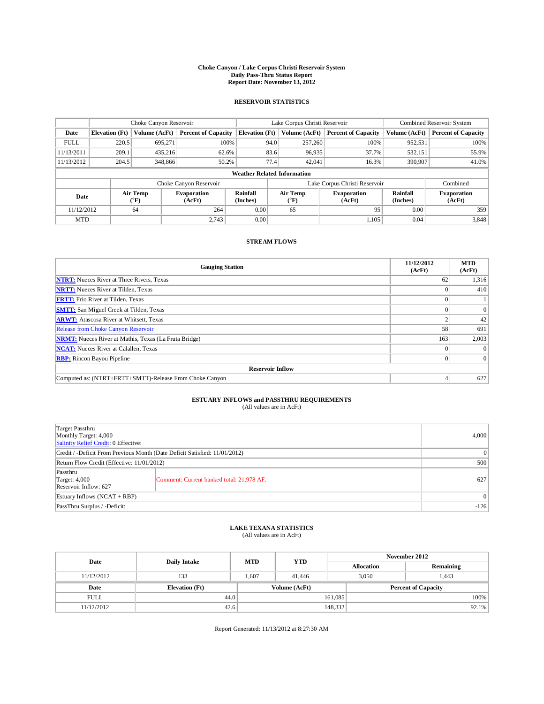### **Choke Canyon / Lake Corpus Christi Reservoir System Daily Pass-Thru Status Report Report Date: November 13, 2012**

#### **RESERVOIR STATISTICS**

|                                    | Choke Canyon Reservoir |                              | Lake Corpus Christi Reservoir |                      |                                                  |         | Combined Reservoir System     |                              |                            |
|------------------------------------|------------------------|------------------------------|-------------------------------|----------------------|--------------------------------------------------|---------|-------------------------------|------------------------------|----------------------------|
| Date                               | <b>Elevation</b> (Ft)  | Volume (AcFt)                | <b>Percent of Capacity</b>    |                      | <b>Elevation</b> (Ft)<br>Volume (AcFt)           |         | <b>Percent of Capacity</b>    | Volume (AcFt)                | <b>Percent of Capacity</b> |
| <b>FULL</b>                        | 220.5                  | 695.271                      | 100%                          |                      | 94.0                                             | 257,260 | 100%                          | 952,531                      | 100%                       |
| 11/13/2011                         | 209.1                  | 435.216                      | 62.6%                         |                      | 83.6                                             | 96,935  | 37.7%                         | 532,151                      | 55.9%                      |
| 11/13/2012                         | 204.5                  | 348,866                      | 50.2%                         |                      | 77.4                                             | 42,041  | 16.3%                         | 390,907                      | 41.0%                      |
| <b>Weather Related Information</b> |                        |                              |                               |                      |                                                  |         |                               |                              |                            |
|                                    |                        |                              | Choke Canyon Reservoir        |                      |                                                  |         | Lake Corpus Christi Reservoir |                              | Combined                   |
| Date                               |                        | Air Temp<br>$({}^0\text{F})$ | <b>Evaporation</b><br>(AcFt)  | Rainfall<br>(Inches) | Air Temp<br><b>Evaporation</b><br>(°F)<br>(AcFt) |         | Rainfall<br>(Inches)          | <b>Evaporation</b><br>(AcFt) |                            |
| 11/12/2012                         |                        | 64                           | 264                           | 0.00                 |                                                  | 65      | 95                            | 0.00                         | 359                        |
| <b>MTD</b>                         |                        |                              | 2.743                         | 0.00                 |                                                  |         | 1.105                         | 0.04                         | 3,848                      |

#### **STREAM FLOWS**

| <b>Gauging Station</b>                                       | 11/12/2012<br>(AcFt) | <b>MTD</b><br>(AcFt) |
|--------------------------------------------------------------|----------------------|----------------------|
| <b>NTRT:</b> Nueces River at Three Rivers, Texas             | 62                   | 1,316                |
| <b>NRTT:</b> Nueces River at Tilden, Texas                   |                      | 410                  |
| <b>FRTT:</b> Frio River at Tilden, Texas                     |                      |                      |
| <b>SMTT:</b> San Miguel Creek at Tilden, Texas               |                      | $\theta$             |
| <b>ARWT:</b> Atascosa River at Whitsett, Texas               |                      | 42                   |
| Release from Choke Canyon Reservoir                          | 58                   | 691                  |
| <b>NRMT:</b> Nueces River at Mathis, Texas (La Fruta Bridge) | 163                  | 2,003                |
| <b>NCAT:</b> Nueces River at Calallen, Texas                 | $\Omega$             | $\theta$             |
| <b>RBP:</b> Rincon Bayou Pipeline                            |                      | $\Omega$             |
| <b>Reservoir Inflow</b>                                      |                      |                      |
| Computed as: (NTRT+FRTT+SMTT)-Release From Choke Canyon      |                      | 627                  |

### **ESTUARY INFLOWS and PASSTHRU REQUIREMENTS**

| (All values are in AcFt) |  |
|--------------------------|--|
|--------------------------|--|

| Target Passthru<br>Monthly Target: 4,000<br>Salinity Relief Credit: 0 Effective: |                                           | 4,000 |
|----------------------------------------------------------------------------------|-------------------------------------------|-------|
| Credit / -Deficit From Previous Month (Date Deficit Satisfied: 11/01/2012)       |                                           |       |
| Return Flow Credit (Effective: 11/01/2012)                                       | 500                                       |       |
| Passthru<br>Target: 4,000<br>Reservoir Inflow: 627                               | Comment: Current banked total: 21,978 AF. | 627   |
| Estuary Inflows $(NCAT + RBP)$                                                   | 0                                         |       |
| PassThru Surplus / -Deficit:                                                     | $-126$                                    |       |

# **LAKE TEXANA STATISTICS** (All values are in AcFt)

| <b>YTD</b><br><b>MTD</b><br>Date<br>Daily Intake |                       |      |               | November 2012 |                            |           |
|--------------------------------------------------|-----------------------|------|---------------|---------------|----------------------------|-----------|
|                                                  |                       |      |               |               | <b>Allocation</b>          | Remaining |
| 11/12/2012                                       | 133                   | .607 | 41,446        |               | 3.050                      | 1.443     |
| Date                                             | <b>Elevation</b> (Ft) |      | Volume (AcFt) |               | <b>Percent of Capacity</b> |           |
| <b>FULL</b>                                      | 44.0                  |      |               | 161,085       |                            | $100\%$   |
| 11/12/2012                                       | 42.6                  |      |               | 148,332       |                            | $92.1\%$  |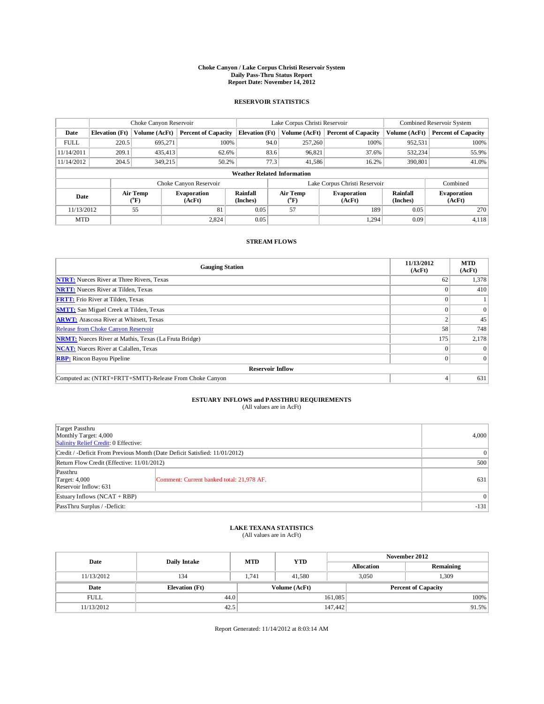### **Choke Canyon / Lake Corpus Christi Reservoir System Daily Pass-Thru Status Report Report Date: November 14, 2012**

#### **RESERVOIR STATISTICS**

|                                    |                       | Choke Canyon Reservoir       |                              |                       | Lake Corpus Christi Reservoir                    | Combined Reservoir System                   |                      |                              |
|------------------------------------|-----------------------|------------------------------|------------------------------|-----------------------|--------------------------------------------------|---------------------------------------------|----------------------|------------------------------|
| Date                               | <b>Elevation</b> (Ft) | Volume (AcFt)                | <b>Percent of Capacity</b>   | <b>Elevation</b> (Ft) | Volume (AcFt)                                    | <b>Percent of Capacity</b><br>Volume (AcFt) |                      | <b>Percent of Capacity</b>   |
| <b>FULL</b>                        | 220.5                 | 695.271                      | 100%                         | 94.0                  | 257,260                                          | 100%                                        | 952,531              | 100%                         |
| 11/14/2011                         | 209.1                 | 435,413                      | 62.6%                        | 83.6                  | 96,821                                           | 37.6%                                       | 532,234              | 55.9%                        |
| 11/14/2012                         | 204.5                 | 349,215                      | 50.2%                        | 77.3                  | 41,586                                           | 16.2%                                       | 390,801              | 41.0%                        |
| <b>Weather Related Information</b> |                       |                              |                              |                       |                                                  |                                             |                      |                              |
|                                    |                       |                              | Choke Canyon Reservoir       |                       |                                                  | Lake Corpus Christi Reservoir               |                      | Combined                     |
| Date                               |                       | Air Temp<br>$({}^0\text{F})$ | <b>Evaporation</b><br>(AcFt) | Rainfall<br>(Inches)  | Air Temp<br><b>Evaporation</b><br>(°F)<br>(AcFt) |                                             | Rainfall<br>(Inches) | <b>Evaporation</b><br>(AcFt) |
| 11/13/2012                         |                       | 55                           | 81                           | 0.05                  | 57                                               | 189                                         | 0.05                 | 270                          |
| <b>MTD</b>                         |                       |                              | 2.824                        | 0.05                  |                                                  | 1.294                                       | 0.09                 | 4,118                        |

#### **STREAM FLOWS**

| <b>Gauging Station</b>                                       | 11/13/2012<br>(AcFt) | <b>MTD</b><br>(AcFt) |
|--------------------------------------------------------------|----------------------|----------------------|
| <b>NTRT:</b> Nueces River at Three Rivers, Texas             | 62                   | 1,378                |
| <b>NRTT:</b> Nueces River at Tilden, Texas                   |                      | 410                  |
| <b>FRTT:</b> Frio River at Tilden, Texas                     |                      |                      |
| <b>SMTT:</b> San Miguel Creek at Tilden, Texas               |                      | $\theta$             |
| <b>ARWT:</b> Atascosa River at Whitsett, Texas               |                      | 45                   |
| Release from Choke Canyon Reservoir                          | 58                   | 748                  |
| <b>NRMT:</b> Nueces River at Mathis, Texas (La Fruta Bridge) | 175                  | 2,178                |
| <b>NCAT:</b> Nueces River at Calallen, Texas                 | $\Omega$             | $\theta$             |
| <b>RBP:</b> Rincon Bayou Pipeline                            |                      | $\Omega$             |
| <b>Reservoir Inflow</b>                                      |                      |                      |
| Computed as: (NTRT+FRTT+SMTT)-Release From Choke Canyon      |                      | 631                  |

### **ESTUARY INFLOWS and PASSTHRU REQUIREMENTS**

|  | (All values are in AcFt) |  |  |  |
|--|--------------------------|--|--|--|
|--|--------------------------|--|--|--|

| Target Passthru<br>Monthly Target: 4,000<br>Salinity Relief Credit: 0 Effective: |                                           |        |  |  |
|----------------------------------------------------------------------------------|-------------------------------------------|--------|--|--|
| Credit / -Deficit From Previous Month (Date Deficit Satisfied: 11/01/2012)       | $\theta$                                  |        |  |  |
| Return Flow Credit (Effective: 11/01/2012)                                       | 500                                       |        |  |  |
| Passthru<br>Target: 4,000<br>Reservoir Inflow: 631                               | Comment: Current banked total: 21,978 AF. | 631    |  |  |
| Estuary Inflows $(NCAT + RBP)$                                                   |                                           |        |  |  |
| PassThru Surplus / -Deficit:                                                     |                                           | $-131$ |  |  |

### **LAKE TEXANA STATISTICS** (All values are in AcFt)

| Date        |                       | <b>MTD</b> | <b>YTD</b>                                  | November 2012 |                   |           |       |
|-------------|-----------------------|------------|---------------------------------------------|---------------|-------------------|-----------|-------|
|             | <b>Daily Intake</b>   |            |                                             |               | <b>Allocation</b> | Remaining |       |
| 11/13/2012  | 134                   | 1.741      | 41.580                                      |               | 3.050             | 1,309     |       |
| Date        | <b>Elevation</b> (Ft) |            | Volume (AcFt)<br><b>Percent of Capacity</b> |               |                   |           |       |
| <b>FULL</b> | 44.0                  |            |                                             | 161,085       |                   |           | 100%  |
| 11/13/2012  | 42.5                  |            |                                             | 147,442       |                   |           | 91.5% |

Report Generated: 11/14/2012 at 8:03:14 AM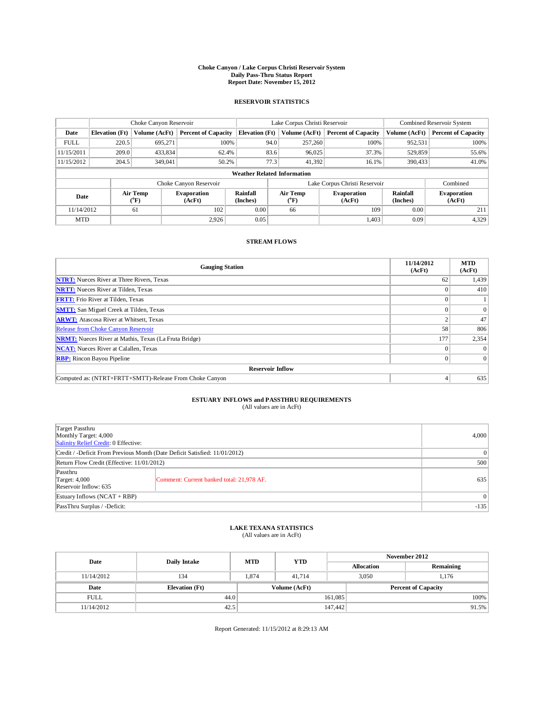### **Choke Canyon / Lake Corpus Christi Reservoir System Daily Pass-Thru Status Report Report Date: November 15, 2012**

#### **RESERVOIR STATISTICS**

|             | Choke Canyon Reservoir |                  |                              |                                    | Lake Corpus Christi Reservoir |                  |                              |               | Combined Reservoir System    |  |  |
|-------------|------------------------|------------------|------------------------------|------------------------------------|-------------------------------|------------------|------------------------------|---------------|------------------------------|--|--|
| Date        | <b>Elevation</b> (Ft)  | Volume (AcFt)    | <b>Percent of Capacity</b>   | <b>Elevation</b> (Ft)              |                               | Volume (AcFt)    | <b>Percent of Capacity</b>   | Volume (AcFt) | <b>Percent of Capacity</b>   |  |  |
| <b>FULL</b> | 220.5                  | 695.271          | 100%                         |                                    | 94.0                          | 257,260          | 100%                         | 952,531       | 100%                         |  |  |
| 11/15/2011  | 209.0                  | 433,834          | 62.4%                        |                                    | 83.6                          | 96,025           | 37.3%                        | 529,859       | 55.6%                        |  |  |
| 11/15/2012  | 204.5                  | 349,041          | 50.2%                        |                                    | 77.3                          | 41,392           | 16.1%                        | 390,433       | 41.0%                        |  |  |
|             |                        |                  |                              | <b>Weather Related Information</b> |                               |                  |                              |               |                              |  |  |
|             |                        |                  | Choke Canyon Reservoir       |                                    | Lake Corpus Christi Reservoir |                  |                              | Combined      |                              |  |  |
| Date        |                        | Air Temp<br>(°F) | <b>Evaporation</b><br>(AcFt) | Rainfall<br>(Inches)               |                               | Air Temp<br>(°F) | <b>Evaporation</b><br>(AcFt) |               | <b>Evaporation</b><br>(AcFt) |  |  |
| 11/14/2012  |                        | 61               | 102                          | 0.00                               |                               | 109<br>66        |                              | 0.00          | 211                          |  |  |
| <b>MTD</b>  |                        |                  | 2.926                        | 0.05                               |                               |                  | 1,403                        | 0.09          | 4,329                        |  |  |

#### **STREAM FLOWS**

| <b>Gauging Station</b>                                       | 11/14/2012<br>(AcFt) | <b>MTD</b><br>(AcFt) |
|--------------------------------------------------------------|----------------------|----------------------|
| <b>NTRT:</b> Nueces River at Three Rivers, Texas             | 62                   | 1,439                |
| <b>NRTT:</b> Nueces River at Tilden, Texas                   |                      | 410                  |
| <b>FRTT:</b> Frio River at Tilden, Texas                     |                      |                      |
| <b>SMTT:</b> San Miguel Creek at Tilden, Texas               |                      | $\theta$             |
| <b>ARWT:</b> Atascosa River at Whitsett, Texas               |                      | 47                   |
| Release from Choke Canyon Reservoir                          | 58                   | 806                  |
| <b>NRMT:</b> Nueces River at Mathis, Texas (La Fruta Bridge) | 177                  | 2,354                |
| <b>NCAT:</b> Nueces River at Calallen, Texas                 | $\Omega$             | $\theta$             |
| <b>RBP:</b> Rincon Bayou Pipeline                            |                      | $\Omega$             |
| <b>Reservoir Inflow</b>                                      |                      |                      |
| Computed as: (NTRT+FRTT+SMTT)-Release From Choke Canyon      |                      | 635                  |

### **ESTUARY INFLOWS and PASSTHRU REQUIREMENTS**

| (All values are in AcFt) |  |
|--------------------------|--|
|--------------------------|--|

| Target Passthru<br>Monthly Target: 4,000<br>Salinity Relief Credit: 0 Effective: |                                           |        |  |  |
|----------------------------------------------------------------------------------|-------------------------------------------|--------|--|--|
| Credit / -Deficit From Previous Month (Date Deficit Satisfied: 11/01/2012)       |                                           |        |  |  |
| Return Flow Credit (Effective: 11/01/2012)                                       |                                           |        |  |  |
| Passthru<br>Target: 4,000<br>Reservoir Inflow: 635                               | Comment: Current banked total: 21,978 AF. | 635    |  |  |
| Estuary Inflows $(NCAT + RBP)$                                                   |                                           |        |  |  |
| PassThru Surplus / -Deficit:                                                     |                                           | $-135$ |  |  |

# **LAKE TEXANA STATISTICS** (All values are in AcFt)

| Date        | Daily Intake          | <b>MTD</b> |                   | November 2012 |                            |       |          |
|-------------|-----------------------|------------|-------------------|---------------|----------------------------|-------|----------|
|             | <b>YTD</b>            |            | <b>Allocation</b> | Remaining     |                            |       |          |
| 11/14/2012  | 134                   | 1.874      | 41,714            |               | 3.050                      | 1.176 |          |
| Date        | <b>Elevation</b> (Ft) |            | Volume (AcFt)     |               | <b>Percent of Capacity</b> |       |          |
| <b>FULL</b> | 44.0                  |            |                   | 161,085       |                            |       | $100\%$  |
| 11/14/2012  | 42.5                  |            |                   | 147,442       |                            |       | $91.5\%$ |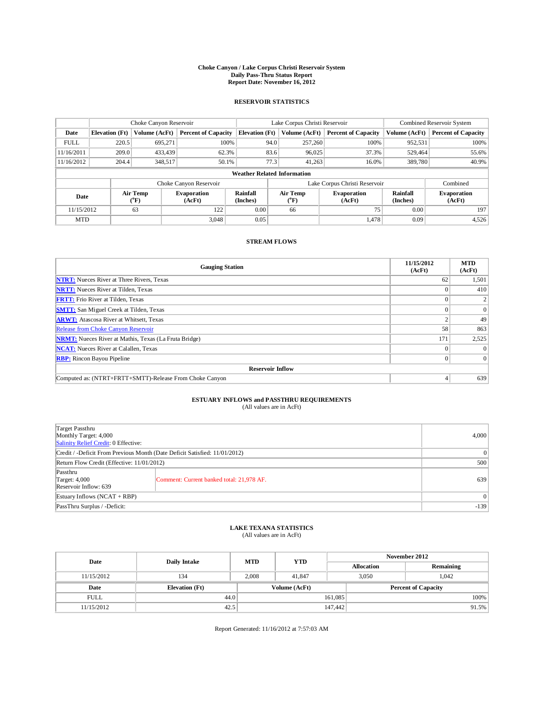### **Choke Canyon / Lake Corpus Christi Reservoir System Daily Pass-Thru Status Report Report Date: November 16, 2012**

#### **RESERVOIR STATISTICS**

|             | Choke Canyon Reservoir |                  |                              |                                    | Lake Corpus Christi Reservoir |                  |                              |               | Combined Reservoir System    |  |  |
|-------------|------------------------|------------------|------------------------------|------------------------------------|-------------------------------|------------------|------------------------------|---------------|------------------------------|--|--|
| Date        | <b>Elevation</b> (Ft)  | Volume (AcFt)    | <b>Percent of Capacity</b>   | <b>Elevation</b> (Ft)              |                               | Volume (AcFt)    | <b>Percent of Capacity</b>   | Volume (AcFt) | <b>Percent of Capacity</b>   |  |  |
| <b>FULL</b> | 220.5                  | 695.271          | 100%                         |                                    | 94.0                          | 257,260          | 100%                         | 952,531       | 100%                         |  |  |
| 11/16/2011  | 209.0                  | 433,439          | 62.3%                        |                                    | 83.6                          | 96,025           | 37.3%                        | 529,464       | 55.6%                        |  |  |
| 11/16/2012  | 204.4                  | 348,517          | 50.1%                        |                                    | 77.3                          | 41,263           | 16.0%                        | 389,780       | 40.9%                        |  |  |
|             |                        |                  |                              | <b>Weather Related Information</b> |                               |                  |                              |               |                              |  |  |
|             |                        |                  | Choke Canyon Reservoir       |                                    | Lake Corpus Christi Reservoir |                  |                              |               | Combined                     |  |  |
| Date        |                        | Air Temp<br>(°F) | <b>Evaporation</b><br>(AcFt) | Rainfall<br>(Inches)               |                               | Air Temp<br>(°F) | <b>Evaporation</b><br>(AcFt) |               | <b>Evaporation</b><br>(AcFt) |  |  |
| 11/15/2012  |                        | 63               | 122                          | 0.00                               |                               | 66               | 75                           |               | 197                          |  |  |
| <b>MTD</b>  |                        |                  | 3.048                        | 0.05                               |                               |                  | 1,478                        | 0.09          | 4,526                        |  |  |

#### **STREAM FLOWS**

| <b>Gauging Station</b>                                       | 11/15/2012<br>(AcFt) | <b>MTD</b><br>(AcFt) |
|--------------------------------------------------------------|----------------------|----------------------|
| <b>NTRT:</b> Nueces River at Three Rivers, Texas             | 62                   | 1,501                |
| <b>NRTT:</b> Nueces River at Tilden, Texas                   |                      | 410                  |
| <b>FRTT:</b> Frio River at Tilden, Texas                     |                      |                      |
| <b>SMTT:</b> San Miguel Creek at Tilden, Texas               |                      | $\theta$             |
| <b>ARWT:</b> Atascosa River at Whitsett, Texas               |                      | 49                   |
| Release from Choke Canyon Reservoir                          | 58                   | 863                  |
| <b>NRMT:</b> Nueces River at Mathis, Texas (La Fruta Bridge) | 171                  | 2,525                |
| <b>NCAT:</b> Nueces River at Calallen, Texas                 | $\Omega$             | $\theta$             |
| <b>RBP:</b> Rincon Bayou Pipeline                            |                      | $\Omega$             |
| <b>Reservoir Inflow</b>                                      |                      |                      |
| Computed as: (NTRT+FRTT+SMTT)-Release From Choke Canyon      |                      | 639                  |

# **ESTUARY INFLOWS and PASSTHRU REQUIREMENTS**<br>(All values are in AcFt)

| Target Passthru<br>Monthly Target: 4,000<br>Salinity Relief Credit: 0 Effective:                  |                 |        |  |  |
|---------------------------------------------------------------------------------------------------|-----------------|--------|--|--|
| Credit / -Deficit From Previous Month (Date Deficit Satisfied: 11/01/2012)                        | $\vert 0 \vert$ |        |  |  |
| Return Flow Credit (Effective: 11/01/2012)                                                        | 500             |        |  |  |
| Passthru<br>Target: $4,000$<br>Comment: Current banked total: 21,978 AF.<br>Reservoir Inflow: 639 |                 | 639    |  |  |
| Estuary Inflows $(NCAT + RBP)$                                                                    |                 |        |  |  |
| PassThru Surplus / -Deficit:                                                                      |                 | $-139$ |  |  |

# **LAKE TEXANA STATISTICS** (All values are in AcFt)

| Date        | Daily Intake          | <b>MTD</b> | <b>YTD</b>    | November 2012 |                            |           |          |
|-------------|-----------------------|------------|---------------|---------------|----------------------------|-----------|----------|
|             |                       |            |               |               | <b>Allocation</b>          | Remaining |          |
| 11/15/2012  | 134                   | 2.008      | 41.847        |               | 3.050                      | 1.042     |          |
| Date        | <b>Elevation</b> (Ft) |            | Volume (AcFt) |               | <b>Percent of Capacity</b> |           |          |
| <b>FULL</b> | 44.0                  |            |               | 161,085       |                            |           | $100\%$  |
| 11/15/2012  | 42.5                  |            |               | 147,442       |                            |           | $91.5\%$ |

Report Generated: 11/16/2012 at 7:57:03 AM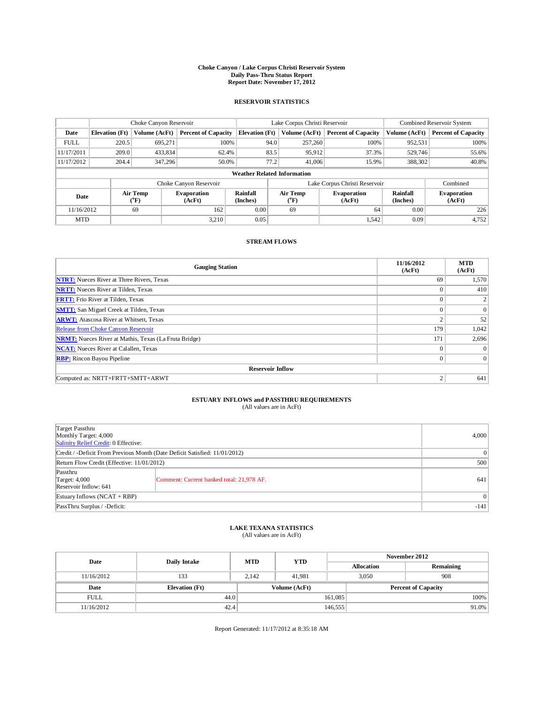### **Choke Canyon / Lake Corpus Christi Reservoir System Daily Pass-Thru Status Report Report Date: November 17, 2012**

#### **RESERVOIR STATISTICS**

|             | Choke Canyon Reservoir |                       |                              |                       | Lake Corpus Christi Reservoir      | Combined Reservoir System     |               |                              |
|-------------|------------------------|-----------------------|------------------------------|-----------------------|------------------------------------|-------------------------------|---------------|------------------------------|
| Date        | <b>Elevation</b> (Ft)  | Volume (AcFt)         | <b>Percent of Capacity</b>   | <b>Elevation</b> (Ft) | Volume (AcFt)                      | <b>Percent of Capacity</b>    | Volume (AcFt) | <b>Percent of Capacity</b>   |
| <b>FULL</b> | 220.5                  | 695.271               | 100%                         |                       | 94.0<br>257,260                    | 100%                          | 952,531       | 100%                         |
| 11/17/2011  | 209.0                  | 433,834               | 62.4%                        |                       | 83.5<br>95,912                     | 37.3%                         | 529,746       | 55.6%                        |
| 11/17/2012  | 204.4                  | 347,296               | 50.0%                        |                       | 41,006<br>77.2                     | 15.9%                         | 388,302       | 40.8%                        |
|             |                        |                       |                              |                       | <b>Weather Related Information</b> |                               |               |                              |
|             |                        |                       | Choke Canyon Reservoir       |                       |                                    | Lake Corpus Christi Reservoir |               | Combined                     |
| Date        |                        | Air Temp<br>$(^{0}F)$ | <b>Evaporation</b><br>(AcFt) | Rainfall<br>(Inches)  | Air Temp<br>(°F)                   | <b>Evaporation</b><br>(AcFt)  |               | <b>Evaporation</b><br>(AcFt) |
| 11/16/2012  |                        | 69                    | 162                          | 0.00                  | 64<br>69                           |                               | 0.00          | 226                          |
| <b>MTD</b>  |                        |                       | 3.210                        | 0.05                  |                                    | 1,542                         | 0.09          | 4,752                        |

#### **STREAM FLOWS**

| <b>Gauging Station</b>                                       | 11/16/2012<br>(AcFt) | <b>MTD</b><br>(AcFt) |  |  |  |  |  |
|--------------------------------------------------------------|----------------------|----------------------|--|--|--|--|--|
| <b>NTRT:</b> Nueces River at Three Rivers, Texas             | 69                   | 1,570                |  |  |  |  |  |
| <b>NRTT:</b> Nueces River at Tilden, Texas                   | $\Omega$             | 410                  |  |  |  |  |  |
| <b>FRTT:</b> Frio River at Tilden, Texas                     | $\Omega$             |                      |  |  |  |  |  |
| <b>SMTT:</b> San Miguel Creek at Tilden, Texas               | $\Omega$             | $\overline{0}$       |  |  |  |  |  |
| <b>ARWT:</b> Atascosa River at Whitsett, Texas               | $\mathbf{2}$         | 52                   |  |  |  |  |  |
| Release from Choke Canyon Reservoir                          | 179                  | 1,042                |  |  |  |  |  |
| <b>NRMT:</b> Nueces River at Mathis, Texas (La Fruta Bridge) | 171                  | 2,696                |  |  |  |  |  |
| <b>NCAT:</b> Nueces River at Calallen, Texas                 | $\Omega$             |                      |  |  |  |  |  |
| <b>RBP:</b> Rincon Bayou Pipeline                            | $\mathbf{0}$         | $\overline{0}$       |  |  |  |  |  |
| <b>Reservoir Inflow</b>                                      |                      |                      |  |  |  |  |  |
| Computed as: NRTT+FRTT+SMTT+ARWT                             | 2                    | 641                  |  |  |  |  |  |

# **ESTUARY INFLOWS and PASSTHRU REQUIREMENTS**<br>(All values are in AcFt)

|                                                                                  | (All values are in AcFt)                  |       |
|----------------------------------------------------------------------------------|-------------------------------------------|-------|
| Target Passthru<br>Monthly Target: 4,000<br>Salinity Relief Credit: 0 Effective: |                                           | 4,000 |
| Credit / -Deficit From Previous Month (Date Deficit Satisfied: 11/01/2012)       |                                           |       |
| Return Flow Credit (Effective: 11/01/2012)                                       | 500                                       |       |
| Passthru<br>Target: 4,000<br>Reservoir Inflow: 641                               | Comment: Current banked total: 21,978 AF. | 641   |
| Estuary Inflows $(NCAT + RBP)$                                                   |                                           |       |

# **LAKE TEXANA STATISTICS** (All values are in AcFt)

PassThru Surplus / -Deficit:  $-141$ 

| Date        | <b>Daily Intake</b>   | <b>MTD</b> | <b>YTD</b>    | November 2012 |                            |           |  |
|-------------|-----------------------|------------|---------------|---------------|----------------------------|-----------|--|
|             |                       |            |               |               | <b>Allocation</b>          | Remaining |  |
| 11/16/2012  | 133                   | 2.142      | 41.981        |               | 3,050<br>908               |           |  |
| Date        | <b>Elevation</b> (Ft) |            | Volume (AcFt) |               | <b>Percent of Capacity</b> |           |  |
| <b>FULL</b> | 44.0                  |            |               | 161,085       |                            | 100%      |  |
| 11/16/2012  | 42.4                  |            |               | 146,555       |                            | $91.0\%$  |  |

Report Generated: 11/17/2012 at 8:35:18 AM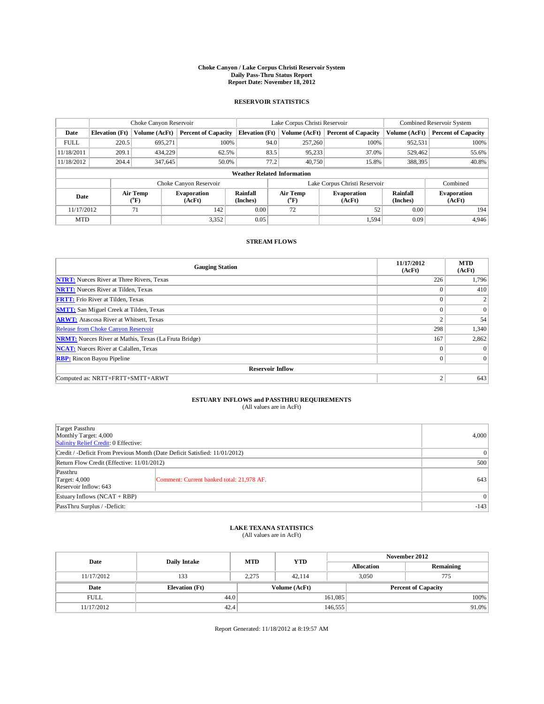### **Choke Canyon / Lake Corpus Christi Reservoir System Daily Pass-Thru Status Report Report Date: November 18, 2012**

#### **RESERVOIR STATISTICS**

|             |                       | Choke Canyon Reservoir |                              |                                    | Lake Corpus Christi Reservoir                         | <b>Combined Reservoir System</b> |                      |                              |
|-------------|-----------------------|------------------------|------------------------------|------------------------------------|-------------------------------------------------------|----------------------------------|----------------------|------------------------------|
| Date        | <b>Elevation</b> (Ft) | Volume (AcFt)          | <b>Percent of Capacity</b>   | <b>Elevation</b> (Ft)              | Volume (AcFt)                                         | <b>Percent of Capacity</b>       | Volume (AcFt)        | <b>Percent of Capacity</b>   |
| <b>FULL</b> | 220.5                 | 695,271                | 100%                         | 94.0                               | 257,260                                               | 100%                             | 952,531              | 100%                         |
| 11/18/2011  | 209.1                 | 434,229                | 62.5%                        | 83.5                               | 95,233                                                | 37.0%                            | 529,462              | 55.6%                        |
| 11/18/2012  | 204.4                 | 347,645                | 50.0%                        | 77.2                               | 40,750                                                | 15.8%                            | 388,395              | 40.8%                        |
|             |                       |                        |                              | <b>Weather Related Information</b> |                                                       |                                  |                      |                              |
|             |                       |                        | Choke Canyon Reservoir       |                                    |                                                       | Lake Corpus Christi Reservoir    |                      | Combined                     |
| Date        |                       | Air Temp<br>$(^{0}F)$  | <b>Evaporation</b><br>(AcFt) | Rainfall<br>(Inches)               | Air Temp<br><b>Evaporation</b><br>(AcFt)<br>$(^{0}F)$ |                                  | Rainfall<br>(Inches) | <b>Evaporation</b><br>(AcFt) |
| 11/17/2012  |                       | 71                     | 142                          | 0.00                               | 72                                                    | 52                               | 0.00                 | 194                          |
| <b>MTD</b>  |                       |                        | 3,352                        | 0.05                               |                                                       | 1,594                            | 0.09                 | 4,946                        |

#### **STREAM FLOWS**

| <b>Gauging Station</b>                                       | 11/17/2012<br>(AcFt) | <b>MTD</b><br>(AcFt) |  |  |  |  |  |
|--------------------------------------------------------------|----------------------|----------------------|--|--|--|--|--|
| <b>NTRT:</b> Nueces River at Three Rivers, Texas             | 226                  | 1,796                |  |  |  |  |  |
| <b>NRTT:</b> Nueces River at Tilden, Texas                   | $\theta$             | 410                  |  |  |  |  |  |
| <b>FRTT:</b> Frio River at Tilden, Texas                     | $\theta$             |                      |  |  |  |  |  |
| <b>SMTT:</b> San Miguel Creek at Tilden, Texas               | $\Omega$             | $\Omega$             |  |  |  |  |  |
| <b>ARWT:</b> Atascosa River at Whitsett, Texas               | $\mathcal{L}$        | 54                   |  |  |  |  |  |
| Release from Choke Canyon Reservoir                          | 298                  | 1,340                |  |  |  |  |  |
| <b>NRMT:</b> Nueces River at Mathis, Texas (La Fruta Bridge) | 167                  | 2,862                |  |  |  |  |  |
| <b>NCAT:</b> Nueces River at Calallen, Texas                 | $\mathbf{0}$         | $\Omega$             |  |  |  |  |  |
| <b>RBP:</b> Rincon Bayou Pipeline                            | $\overline{0}$       | $\Omega$             |  |  |  |  |  |
| <b>Reservoir Inflow</b>                                      |                      |                      |  |  |  |  |  |
| Computed as: NRTT+FRTT+SMTT+ARWT                             | 2                    | 643                  |  |  |  |  |  |

# **ESTUARY INFLOWS and PASSTHRU REQUIREMENTS**<br>(All values are in AcFt)

| Target Passthru<br>Monthly Target: 4,000<br>Salinity Relief Credit: 0 Effective: | 4,000                                     |     |
|----------------------------------------------------------------------------------|-------------------------------------------|-----|
| Credit / -Deficit From Previous Month (Date Deficit Satisfied: 11/01/2012)       | $\vert 0 \vert$                           |     |
| Return Flow Credit (Effective: 11/01/2012)                                       | 500                                       |     |
| Passthru<br>Target: $4,000$<br>Reservoir Inflow: 643                             | Comment: Current banked total: 21,978 AF. | 643 |
| Estuary Inflows $(NCAT + RBP)$                                                   | $\vert$ 0                                 |     |
| PassThru Surplus / -Deficit:                                                     | $-143$                                    |     |

# **LAKE TEXANA STATISTICS** (All values are in AcFt)

| Date        | <b>Daily Intake</b>   | <b>MTD</b> | <b>YTD</b>    | November 2012 |                            |           |  |
|-------------|-----------------------|------------|---------------|---------------|----------------------------|-----------|--|
|             |                       |            |               |               | <b>Allocation</b>          | Remaining |  |
| 11/17/2012  | 133                   | 2.275      | 42.114        |               | 3,050<br>775               |           |  |
| Date        | <b>Elevation</b> (Ft) |            | Volume (AcFt) |               | <b>Percent of Capacity</b> |           |  |
| <b>FULL</b> | 44.0                  |            |               | 161,085       |                            | 100%      |  |
| 11/17/2012  | 42.4                  |            |               | 146,555       |                            | 91.0%     |  |

Report Generated: 11/18/2012 at 8:19:57 AM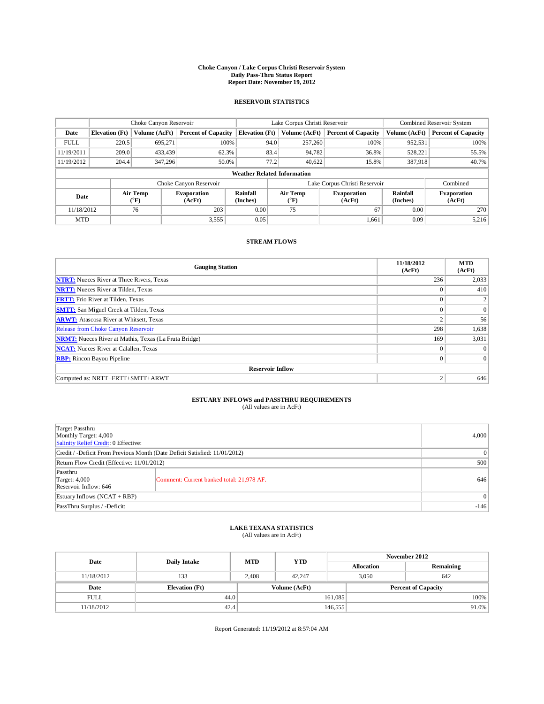### **Choke Canyon / Lake Corpus Christi Reservoir System Daily Pass-Thru Status Report Report Date: November 19, 2012**

#### **RESERVOIR STATISTICS**

|             |                       | Choke Canyon Reservoir |                              |                                    | Lake Corpus Christi Reservoir                                | <b>Combined Reservoir System</b> |                      |                              |
|-------------|-----------------------|------------------------|------------------------------|------------------------------------|--------------------------------------------------------------|----------------------------------|----------------------|------------------------------|
| Date        | <b>Elevation</b> (Ft) | Volume (AcFt)          | <b>Percent of Capacity</b>   | <b>Elevation</b> (Ft)              | Volume (AcFt)                                                | <b>Percent of Capacity</b>       | Volume (AcFt)        | <b>Percent of Capacity</b>   |
| <b>FULL</b> | 220.5                 | 695,271                | 100%                         | 94.0                               | 257,260                                                      | 100%                             | 952,531              | 100%                         |
| 11/19/2011  | 209.0                 | 433,439                | 62.3%                        | 83.4                               | 94,782                                                       | 36.8%                            | 528,221              | 55.5%                        |
| 11/19/2012  | 204.4                 | 347,296                | 50.0%                        | 77.2                               | 40.622                                                       | 15.8%                            | 387,918              | 40.7%                        |
|             |                       |                        |                              | <b>Weather Related Information</b> |                                                              |                                  |                      |                              |
|             |                       |                        | Choke Canyon Reservoir       |                                    |                                                              | Lake Corpus Christi Reservoir    |                      | Combined                     |
| Date        |                       | Air Temp<br>$(^{0}F)$  | <b>Evaporation</b><br>(AcFt) | Rainfall<br>(Inches)               | Air Temp<br><b>Evaporation</b><br>(AcFt)<br>$\rm ^{(^o}\!F)$ |                                  | Rainfall<br>(Inches) | <b>Evaporation</b><br>(AcFt) |
| 11/18/2012  |                       | 76                     | 203                          | 0.00                               | 75                                                           | 67                               | 0.00                 | 270                          |
| <b>MTD</b>  |                       |                        | 3,555                        | 0.05                               |                                                              | 1.661                            | 0.09                 | 5,216                        |

#### **STREAM FLOWS**

| <b>Gauging Station</b>                                       | 11/18/2012<br>(AcFt) | <b>MTD</b><br>(AcFt) |  |  |  |  |  |
|--------------------------------------------------------------|----------------------|----------------------|--|--|--|--|--|
| <b>NTRT:</b> Nueces River at Three Rivers, Texas             | 236                  | 2,033                |  |  |  |  |  |
| <b>NRTT:</b> Nueces River at Tilden, Texas                   | $\Omega$             | 410                  |  |  |  |  |  |
| <b>FRTT:</b> Frio River at Tilden, Texas                     | $\Omega$             |                      |  |  |  |  |  |
| <b>SMTT:</b> San Miguel Creek at Tilden, Texas               | $\Omega$             | $\overline{0}$       |  |  |  |  |  |
| <b>ARWT:</b> Atascosa River at Whitsett, Texas               | $\mathbf{2}$         | 56                   |  |  |  |  |  |
| Release from Choke Canyon Reservoir                          | 298                  | 1,638                |  |  |  |  |  |
| <b>NRMT:</b> Nueces River at Mathis, Texas (La Fruta Bridge) | 169                  | 3,031                |  |  |  |  |  |
| <b>NCAT:</b> Nueces River at Calallen, Texas                 | $\Omega$             |                      |  |  |  |  |  |
| <b>RBP:</b> Rincon Bayou Pipeline                            | $\mathbf{0}$         | $\overline{0}$       |  |  |  |  |  |
| <b>Reservoir Inflow</b>                                      |                      |                      |  |  |  |  |  |
| Computed as: NRTT+FRTT+SMTT+ARWT                             | 2                    | 646                  |  |  |  |  |  |

# **ESTUARY INFLOWS and PASSTHRU REQUIREMENTS**<br>(All values are in AcFt)

| Target Passthru                                                            |  |  |
|----------------------------------------------------------------------------|--|--|
| Monthly Target: 4,000                                                      |  |  |
| Salinity Relief Credit: 0 Effective:                                       |  |  |
| Credit / -Deficit From Previous Month (Date Deficit Satisfied: 11/01/2012) |  |  |

| $1.44 \pm 0.11$<br>Monthly Target: 4,000                                   | 4.000                                     |     |  |  |
|----------------------------------------------------------------------------|-------------------------------------------|-----|--|--|
| Salinity Relief Credit: 0 Effective:                                       |                                           |     |  |  |
| Credit / -Deficit From Previous Month (Date Deficit Satisfied: 11/01/2012) |                                           |     |  |  |
| Return Flow Credit (Effective: 11/01/2012)                                 |                                           |     |  |  |
| Passthru                                                                   |                                           |     |  |  |
| Target: $4,000$                                                            | Comment: Current banked total: 21,978 AF. | 646 |  |  |
| Reservoir Inflow: 646                                                      |                                           |     |  |  |
| Estuary Inflows $(NCAT + RBP)$                                             |                                           |     |  |  |
| PassThru Surplus / -Deficit:                                               | $-146$                                    |     |  |  |
|                                                                            |                                           |     |  |  |

### **LAKE TEXANA STATISTICS** (All values are in AcFt)

| Date        | Daily Intake          | <b>MTD</b> | <b>YTD</b>    | November 2012 |                            |           |          |
|-------------|-----------------------|------------|---------------|---------------|----------------------------|-----------|----------|
|             |                       |            |               |               | <b>Allocation</b>          | Remaining |          |
| 11/18/2012  | 133                   | 2.408      | 42.247        |               | 3.050<br>642               |           |          |
| Date        | <b>Elevation</b> (Ft) |            | Volume (AcFt) |               | <b>Percent of Capacity</b> |           |          |
| <b>FULL</b> | 44.0                  |            |               | 161,085       |                            |           | $100\%$  |
| 11/18/2012  | 42.4                  |            |               | 146,555       |                            |           | $91.0\%$ |

Report Generated: 11/19/2012 at 8:57:04 AM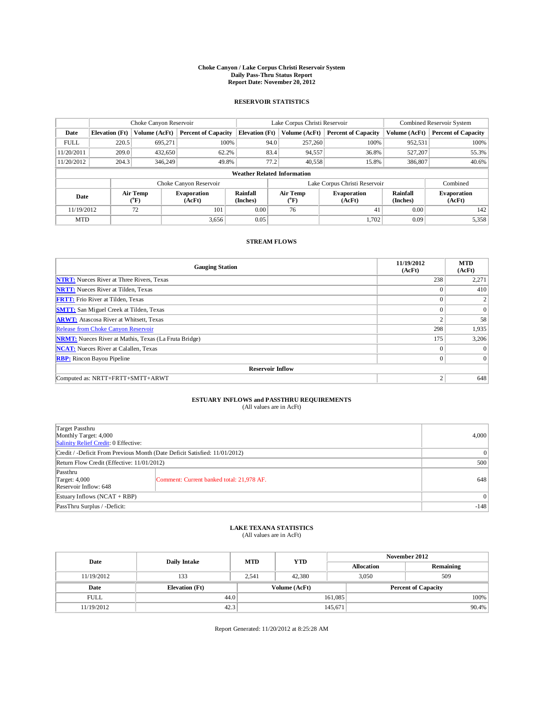### **Choke Canyon / Lake Corpus Christi Reservoir System Daily Pass-Thru Status Report Report Date: November 20, 2012**

#### **RESERVOIR STATISTICS**

|             | Choke Canyon Reservoir |                              |                              |                                    | Lake Corpus Christi Reservoir |         |                               |                      | Combined Reservoir System    |  |
|-------------|------------------------|------------------------------|------------------------------|------------------------------------|-------------------------------|---------|-------------------------------|----------------------|------------------------------|--|
| Date        | <b>Elevation</b> (Ft)  | Volume (AcFt)                | <b>Percent of Capacity</b>   | <b>Elevation</b> (Ft)              | Volume (AcFt)                 |         | <b>Percent of Capacity</b>    | Volume (AcFt)        | <b>Percent of Capacity</b>   |  |
| <b>FULL</b> | 220.5                  | 695.271                      | 100%                         |                                    | 94.0                          | 257,260 | 100%                          | 952,531              | 100%                         |  |
| 11/20/2011  | 209.0                  | 432,650                      | 62.2%                        |                                    | 83.4                          | 94,557  | 36.8%                         | 527,207              | 55.3%                        |  |
| 11/20/2012  | 204.3                  | 346,249                      | 49.8%                        |                                    | 77.2                          | 40,558  | 15.8%                         | 386,807              | 40.6%                        |  |
|             |                        |                              |                              | <b>Weather Related Information</b> |                               |         |                               |                      |                              |  |
|             |                        |                              | Choke Canyon Reservoir       |                                    |                               |         | Lake Corpus Christi Reservoir |                      | Combined                     |  |
| Date        |                        | Air Temp<br>$({}^0\text{F})$ | <b>Evaporation</b><br>(AcFt) | Rainfall<br>(Inches)               | Air Temp<br>(°F)              |         | <b>Evaporation</b><br>(AcFt)  | Rainfall<br>(Inches) | <b>Evaporation</b><br>(AcFt) |  |
| 11/19/2012  |                        | 72                           | 101                          | 0.00                               | 76                            |         | 41                            | 0.00                 | 142                          |  |
| <b>MTD</b>  |                        |                              | 3,656                        | 0.05                               |                               |         | 1.702                         | 0.09                 | 5,358                        |  |

#### **STREAM FLOWS**

| <b>Gauging Station</b>                                       | 11/19/2012<br>(AcFt) | <b>MTD</b><br>(AcFt) |  |  |  |  |  |
|--------------------------------------------------------------|----------------------|----------------------|--|--|--|--|--|
| <b>NTRT:</b> Nueces River at Three Rivers, Texas             | 238                  | 2,271                |  |  |  |  |  |
| <b>NRTT:</b> Nueces River at Tilden, Texas                   | $\theta$             | 410                  |  |  |  |  |  |
| <b>FRTT:</b> Frio River at Tilden, Texas                     | $\theta$             |                      |  |  |  |  |  |
| <b>SMTT:</b> San Miguel Creek at Tilden, Texas               | $\theta$             | $\Omega$             |  |  |  |  |  |
| <b>ARWT:</b> Atascosa River at Whitsett, Texas               | 2                    | 58                   |  |  |  |  |  |
| Release from Choke Canyon Reservoir                          | 298                  | 1,935                |  |  |  |  |  |
| <b>NRMT:</b> Nueces River at Mathis, Texas (La Fruta Bridge) | 175                  | 3,206                |  |  |  |  |  |
| <b>NCAT:</b> Nueces River at Calallen, Texas                 | $\mathbf{0}$         | $\Omega$             |  |  |  |  |  |
| <b>RBP:</b> Rincon Bayou Pipeline                            | $\overline{0}$       | $\Omega$             |  |  |  |  |  |
| <b>Reservoir Inflow</b>                                      |                      |                      |  |  |  |  |  |
| Computed as: NRTT+FRTT+SMTT+ARWT                             | 2                    | 648                  |  |  |  |  |  |

# **ESTUARY INFLOWS and PASSTHRU REQUIREMENTS**<br>(All values are in AcFt)

| ۰eisz |  |  |
|-------|--|--|

| Target Passthru<br>Monthly Target: 4,000<br>Salinity Relief Credit: 0 Effective: | 4,000                                     |     |  |
|----------------------------------------------------------------------------------|-------------------------------------------|-----|--|
| Credit / -Deficit From Previous Month (Date Deficit Satisfied: 11/01/2012)       |                                           |     |  |
| Return Flow Credit (Effective: 11/01/2012)                                       | 500                                       |     |  |
| Passthru<br>Target: 4,000<br>Reservoir Inflow: 648                               | Comment: Current banked total: 21,978 AF. | 648 |  |
| Estuary Inflows $(NCAT + RBP)$                                                   | $\Omega$                                  |     |  |
| PassThru Surplus / -Deficit:                                                     | $-148$                                    |     |  |

### **LAKE TEXANA STATISTICS** (All values are in AcFt)

| Date        |                       | <b>MTD</b> | <b>YTD</b>    | November 2012     |                            |           |  |
|-------------|-----------------------|------------|---------------|-------------------|----------------------------|-----------|--|
|             | <b>Daily Intake</b>   |            |               | <b>Allocation</b> |                            | Remaining |  |
| 11/19/2012  | 133                   | 2.541      | 42,380        |                   | 509<br>3.050               |           |  |
| Date        | <b>Elevation</b> (Ft) |            | Volume (AcFt) |                   | <b>Percent of Capacity</b> |           |  |
| <b>FULL</b> | 44.0                  |            |               | 161,085           |                            | 100%      |  |
| 11/19/2012  | 42.3                  |            |               | 145,671           |                            | $90.4\%$  |  |

Report Generated: 11/20/2012 at 8:25:28 AM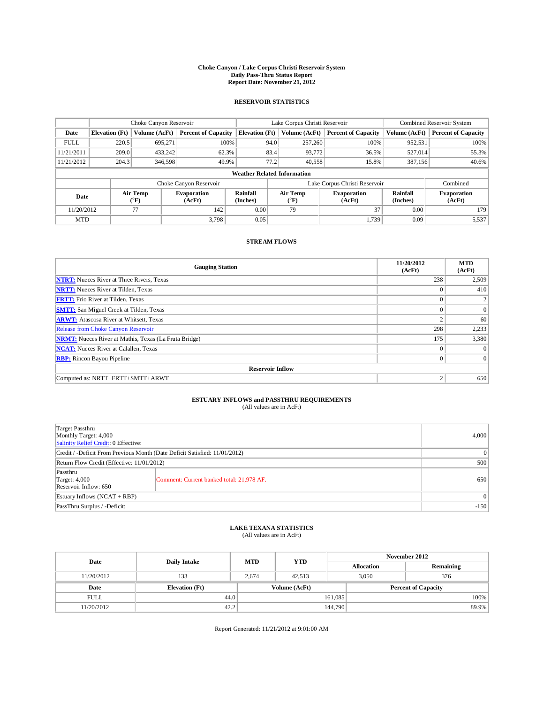### **Choke Canyon / Lake Corpus Christi Reservoir System Daily Pass-Thru Status Report Report Date: November 21, 2012**

#### **RESERVOIR STATISTICS**

|             | Choke Canyon Reservoir |                       | Lake Corpus Christi Reservoir |                                    |      |                  | Combined Reservoir System     |                      |                              |
|-------------|------------------------|-----------------------|-------------------------------|------------------------------------|------|------------------|-------------------------------|----------------------|------------------------------|
| Date        | <b>Elevation</b> (Ft)  | Volume (AcFt)         | <b>Percent of Capacity</b>    | <b>Elevation</b> (Ft)              |      | Volume (AcFt)    | <b>Percent of Capacity</b>    | Volume (AcFt)        | <b>Percent of Capacity</b>   |
| <b>FULL</b> | 220.5                  | 695.271               | 100%                          |                                    | 94.0 | 257,260          | 100%                          | 952,531              | 100%                         |
| 11/21/2011  | 209.0                  | 433.242               | 62.3%                         |                                    | 83.4 | 93,772           | 36.5%                         | 527,014              | 55.3%                        |
| 11/21/2012  | 204.3                  | 346,598               | 49.9%                         |                                    | 77.2 | 40,558           | 15.8%                         | 387,156              | 40.6%                        |
|             |                        |                       |                               | <b>Weather Related Information</b> |      |                  |                               |                      |                              |
|             |                        |                       | Choke Canyon Reservoir        |                                    |      |                  | Lake Corpus Christi Reservoir |                      | Combined                     |
| Date        |                        | Air Temp<br>$(^{0}F)$ | <b>Evaporation</b><br>(AcFt)  | Rainfall<br>(Inches)               |      | Air Temp<br>(°F) | <b>Evaporation</b><br>(AcFt)  | Rainfall<br>(Inches) | <b>Evaporation</b><br>(AcFt) |
| 11/20/2012  |                        | 77                    | 142                           | 0.00                               |      | 79               | 37                            | 0.00                 | 179                          |
| <b>MTD</b>  |                        |                       | 3.798                         | 0.05                               |      |                  | 1.739                         | 0.09                 | 5,537                        |

#### **STREAM FLOWS**

| <b>Gauging Station</b>                                       | 11/20/2012<br>(AcFt) | <b>MTD</b><br>(AcFt) |  |  |  |  |  |
|--------------------------------------------------------------|----------------------|----------------------|--|--|--|--|--|
| <b>NTRT:</b> Nueces River at Three Rivers, Texas             | 238                  | 2,509                |  |  |  |  |  |
| <b>NRTT:</b> Nueces River at Tilden, Texas                   | $\theta$             | 410                  |  |  |  |  |  |
| <b>FRTT:</b> Frio River at Tilden, Texas                     | $\theta$             |                      |  |  |  |  |  |
| <b>SMTT:</b> San Miguel Creek at Tilden, Texas               | $\theta$             | $\Omega$             |  |  |  |  |  |
| <b>ARWT:</b> Atascosa River at Whitsett, Texas               | 2                    | 60                   |  |  |  |  |  |
| Release from Choke Canyon Reservoir                          | 298                  | 2,233                |  |  |  |  |  |
| <b>NRMT:</b> Nueces River at Mathis, Texas (La Fruta Bridge) | 175                  | 3,380                |  |  |  |  |  |
| <b>NCAT:</b> Nueces River at Calallen, Texas                 | $\mathbf{0}$         | $\Omega$             |  |  |  |  |  |
| <b>RBP:</b> Rincon Bayou Pipeline                            | $\overline{0}$       | $\Omega$             |  |  |  |  |  |
| <b>Reservoir Inflow</b>                                      |                      |                      |  |  |  |  |  |
| Computed as: NRTT+FRTT+SMTT+ARWT                             | 2                    | 650                  |  |  |  |  |  |

# **ESTUARY INFLOWS and PASSTHRU REQUIREMENTS**<br>(All values are in AcFt)

|                                                                            | (All values are in Acfu)                  |       |  |  |
|----------------------------------------------------------------------------|-------------------------------------------|-------|--|--|
|                                                                            |                                           |       |  |  |
| Target Passthru                                                            |                                           | 4,000 |  |  |
|                                                                            | Monthly Target: 4,000                     |       |  |  |
| Salinity Relief Credit: 0 Effective:                                       |                                           |       |  |  |
| Credit / -Deficit From Previous Month (Date Deficit Satisfied: 11/01/2012) |                                           |       |  |  |
| Return Flow Credit (Effective: 11/01/2012)                                 |                                           | 500   |  |  |
| Passthru                                                                   |                                           |       |  |  |
| Target: 4,000                                                              | Comment: Current banked total: 21,978 AF. | 650   |  |  |
| Reservoir Inflow: 650                                                      |                                           |       |  |  |
| Estuary Inflows $(NCAT + RBP)$                                             |                                           |       |  |  |

### **LAKE TEXANA STATISTICS** (All values are in AcFt)

PassThru Surplus / -Deficit: -150

| Date        | Daily Intake          | <b>MTD</b> | <b>YTD</b>    | November 2012     |                            |           |  |
|-------------|-----------------------|------------|---------------|-------------------|----------------------------|-----------|--|
|             |                       |            |               | <b>Allocation</b> |                            | Remaining |  |
| 11/20/2012  | 133                   | 2.674      | 42.513        |                   | 3.050<br>376               |           |  |
| Date        | <b>Elevation</b> (Ft) |            | Volume (AcFt) |                   | <b>Percent of Capacity</b> |           |  |
| <b>FULL</b> | 44.0                  |            |               | 161,085           |                            | $100\%$   |  |
| 11/20/2012  | 42.2                  |            |               | 144,790           |                            | 89.9%     |  |

Report Generated: 11/21/2012 at 9:01:00 AM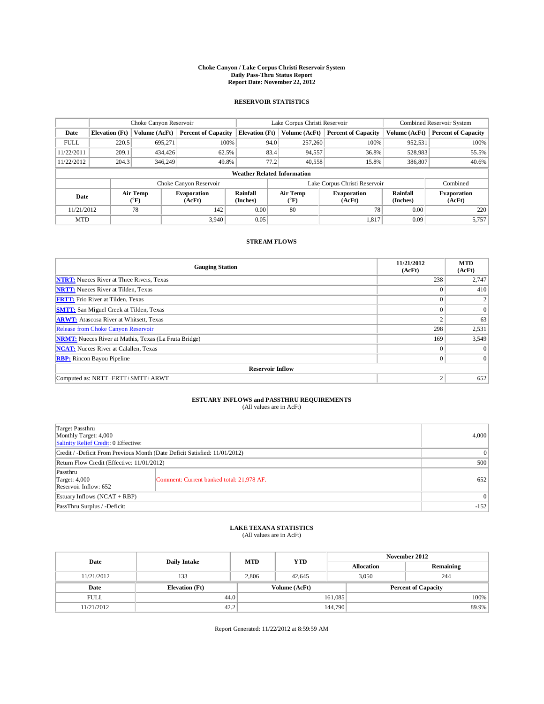### **Choke Canyon / Lake Corpus Christi Reservoir System Daily Pass-Thru Status Report Report Date: November 22, 2012**

#### **RESERVOIR STATISTICS**

|             | Choke Canyon Reservoir |                       |                              |                                    | Lake Corpus Christi Reservoir |                  |                               |                             | Combined Reservoir System    |  |
|-------------|------------------------|-----------------------|------------------------------|------------------------------------|-------------------------------|------------------|-------------------------------|-----------------------------|------------------------------|--|
| Date        | <b>Elevation</b> (Ft)  | Volume (AcFt)         | <b>Percent of Capacity</b>   | <b>Elevation</b> (Ft)              |                               | Volume (AcFt)    | <b>Percent of Capacity</b>    | Volume (AcFt)               | <b>Percent of Capacity</b>   |  |
| <b>FULL</b> | 220.5                  | 695.271               | 100%                         |                                    | 94.0                          | 257,260          | 100%                          | 952,531                     | 100%                         |  |
| 11/22/2011  | 209.1                  | 434,426               | 62.5%                        |                                    | 83.4                          | 94,557           | 36.8%                         | 528,983                     | 55.5%                        |  |
| 11/22/2012  | 204.3                  | 346,249               | 49.8%                        |                                    | 77.2                          | 40,558           | 15.8%                         | 386,807                     | 40.6%                        |  |
|             |                        |                       |                              | <b>Weather Related Information</b> |                               |                  |                               |                             |                              |  |
|             |                        |                       | Choke Canyon Reservoir       |                                    |                               |                  | Lake Corpus Christi Reservoir |                             | Combined                     |  |
| Date        |                        | Air Temp<br>$(^{0}F)$ | <b>Evaporation</b><br>(AcFt) | Rainfall<br>(Inches)               |                               | Air Temp<br>(°F) | <b>Evaporation</b><br>(AcFt)  | <b>Rainfall</b><br>(Inches) | <b>Evaporation</b><br>(AcFt) |  |
| 11/21/2012  |                        | 78                    | 142                          | 0.00                               |                               | 80               | 78                            | 0.00                        | 220                          |  |
| <b>MTD</b>  |                        |                       | 3.940                        | 0.05                               |                               |                  | 1,817                         | 0.09                        | 5,757                        |  |

#### **STREAM FLOWS**

| <b>Gauging Station</b>                                       | 11/21/2012<br>(AcFt) | <b>MTD</b><br>(AcFt) |  |  |  |  |  |
|--------------------------------------------------------------|----------------------|----------------------|--|--|--|--|--|
| <b>NTRT:</b> Nueces River at Three Rivers, Texas             | 238                  | 2,747                |  |  |  |  |  |
| <b>NRTT:</b> Nueces River at Tilden, Texas                   | $\theta$             | 410                  |  |  |  |  |  |
| <b>FRTT:</b> Frio River at Tilden, Texas                     | $\theta$             |                      |  |  |  |  |  |
| <b>SMTT:</b> San Miguel Creek at Tilden, Texas               | $\theta$             | $\Omega$             |  |  |  |  |  |
| <b>ARWT:</b> Atascosa River at Whitsett, Texas               | 2                    | 63                   |  |  |  |  |  |
| Release from Choke Canyon Reservoir                          | 298                  | 2,531                |  |  |  |  |  |
| <b>NRMT:</b> Nueces River at Mathis, Texas (La Fruta Bridge) | 169                  | 3,549                |  |  |  |  |  |
| <b>NCAT:</b> Nueces River at Calallen, Texas                 | $\mathbf{0}$         | $\Omega$             |  |  |  |  |  |
| <b>RBP:</b> Rincon Bayou Pipeline                            | $\overline{0}$       | $\Omega$             |  |  |  |  |  |
| <b>Reservoir Inflow</b>                                      |                      |                      |  |  |  |  |  |
| Computed as: NRTT+FRTT+SMTT+ARWT                             | 2                    | 652                  |  |  |  |  |  |

# **ESTUARY INFLOWS and PASSTHRU REQUIREMENTS**<br>(All values are in AcFt)

| Target Passthru<br>Monthly Target: 4,000<br>Salinity Relief Credit: 0 Effective: | 4,000                                     |     |
|----------------------------------------------------------------------------------|-------------------------------------------|-----|
| Credit / -Deficit From Previous Month (Date Deficit Satisfied: 11/01/2012)       | $\theta$                                  |     |
| Return Flow Credit (Effective: 11/01/2012)                                       | 500                                       |     |
| Passthru<br>Target: 4,000<br>Reservoir Inflow: 652                               | Comment: Current banked total: 21,978 AF. | 652 |
| Estuary Inflows $(NCAT + RBP)$                                                   | 0                                         |     |
| PassThru Surplus / -Deficit:                                                     | $-152$                                    |     |

# **LAKE TEXANA STATISTICS** (All values are in AcFt)

| Date        |                       | <b>MTD</b> | <b>YTD</b>    |         |                            | November 2012 |
|-------------|-----------------------|------------|---------------|---------|----------------------------|---------------|
|             | <b>Daily Intake</b>   |            |               |         | <b>Allocation</b>          | Remaining     |
| 11/21/2012  | 133                   | 2,806      | 42.645        |         | 3,050                      | 244           |
| Date        | <b>Elevation</b> (Ft) |            | Volume (AcFt) |         | <b>Percent of Capacity</b> |               |
| <b>FULL</b> | 44.0                  |            |               | 161,085 |                            | 100%          |
| 11/21/2012  | 42.2                  |            |               | 144,790 |                            | 89.9%         |

Report Generated: 11/22/2012 at 8:59:59 AM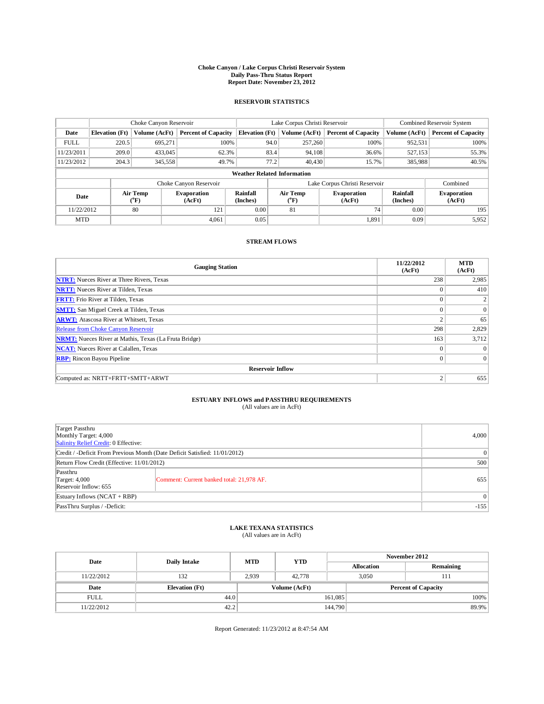### **Choke Canyon / Lake Corpus Christi Reservoir System Daily Pass-Thru Status Report Report Date: November 23, 2012**

#### **RESERVOIR STATISTICS**

|             |                       | Choke Canyon Reservoir       |                              |                                    | Lake Corpus Christi Reservoir |                  |                               | Combined Reservoir System |                              |
|-------------|-----------------------|------------------------------|------------------------------|------------------------------------|-------------------------------|------------------|-------------------------------|---------------------------|------------------------------|
| Date        | <b>Elevation</b> (Ft) | Volume (AcFt)                | <b>Percent of Capacity</b>   | <b>Elevation</b> (Ft)              |                               | Volume (AcFt)    | <b>Percent of Capacity</b>    | Volume (AcFt)             | <b>Percent of Capacity</b>   |
| <b>FULL</b> | 220.5                 | 695.271                      | 100%                         |                                    | 94.0                          | 257,260          | 100%                          | 952,531                   | 100%                         |
| 11/23/2011  | 209.0                 | 433,045                      | 62.3%                        |                                    | 83.4                          | 94,108           | 36.6%                         | 527,153                   | 55.3%                        |
| 11/23/2012  | 204.3                 | 345,558                      | 49.7%                        |                                    | 77.2                          | 40,430           | 15.7%                         | 385,988                   | 40.5%                        |
|             |                       |                              |                              | <b>Weather Related Information</b> |                               |                  |                               |                           |                              |
|             |                       |                              | Choke Canyon Reservoir       |                                    |                               |                  | Lake Corpus Christi Reservoir |                           | Combined                     |
| Date        |                       | Air Temp<br>$({}^0\text{F})$ | <b>Evaporation</b><br>(AcFt) | Rainfall<br>(Inches)               |                               | Air Temp<br>(°F) | <b>Evaporation</b><br>(AcFt)  | Rainfall<br>(Inches)      | <b>Evaporation</b><br>(AcFt) |
| 11/22/2012  |                       | 80                           | 121                          | 0.00                               |                               | 81               | 74                            | 0.00                      | 195                          |
| <b>MTD</b>  |                       |                              | 4.061                        | 0.05                               |                               |                  | 1.891                         | 0.09                      | 5,952                        |

#### **STREAM FLOWS**

| <b>Gauging Station</b>                                       | 11/22/2012<br>(AcFt) | <b>MTD</b><br>(AcFt) |  |  |  |
|--------------------------------------------------------------|----------------------|----------------------|--|--|--|
| <b>NTRT:</b> Nueces River at Three Rivers, Texas             | 238                  | 2,985                |  |  |  |
| <b>NRTT:</b> Nueces River at Tilden, Texas                   | $\theta$             | 410                  |  |  |  |
| <b>FRTT:</b> Frio River at Tilden, Texas                     | $\theta$             |                      |  |  |  |
| <b>SMTT:</b> San Miguel Creek at Tilden, Texas               | $\theta$             | $\Omega$             |  |  |  |
| <b>ARWT:</b> Atascosa River at Whitsett, Texas               | 2                    | 65                   |  |  |  |
| Release from Choke Canyon Reservoir                          | 298                  | 2,829                |  |  |  |
| <b>NRMT:</b> Nueces River at Mathis, Texas (La Fruta Bridge) | 163                  | 3,712                |  |  |  |
| <b>NCAT:</b> Nueces River at Calallen, Texas<br>$\mathbf{0}$ |                      |                      |  |  |  |
| <b>RBP:</b> Rincon Bayou Pipeline                            | $\overline{0}$       | $\Omega$             |  |  |  |
| <b>Reservoir Inflow</b>                                      |                      |                      |  |  |  |
| Computed as: NRTT+FRTT+SMTT+ARWT<br>2                        |                      |                      |  |  |  |

# **ESTUARY INFLOWS and PASSTHRU REQUIREMENTS**<br>(All values are in AcFt)

|                                                                                  | (All values are in ACFI)                                                   |          |
|----------------------------------------------------------------------------------|----------------------------------------------------------------------------|----------|
| Target Passthru<br>Monthly Target: 4,000<br>Salinity Relief Credit: 0 Effective: |                                                                            | 4,000    |
|                                                                                  | Credit / -Deficit From Previous Month (Date Deficit Satisfied: 11/01/2012) | $\theta$ |
| Return Flow Credit (Effective: 11/01/2012)                                       |                                                                            | 500      |
| Passthru<br><b>Target: 4,000</b><br>Reservoir Inflow: 655                        | Comment: Current banked total: 21,978 AF.                                  | 655      |

# **LAKE TEXANA STATISTICS** (All values are in AcFt)

Estuary Inflows (NCAT + RBP) 0 PassThru Surplus / -Deficit:  $-155$ 

| Date        | <b>Daily Intake</b>   | <b>MTD</b> | <b>YTD</b>    | November 2012 |                            |           |       |
|-------------|-----------------------|------------|---------------|---------------|----------------------------|-----------|-------|
|             |                       |            |               |               | <b>Allocation</b>          | Remaining |       |
| 11/22/2012  | 132                   | 2.939      | 42,778        |               | 3.050                      | 111       |       |
| Date        | <b>Elevation</b> (Ft) |            | Volume (AcFt) |               | <b>Percent of Capacity</b> |           |       |
| <b>FULL</b> | 44.0                  |            |               | 161,085       |                            |           | 100%  |
| 11/22/2012  | 42.2                  |            |               | 144,790       |                            |           | 89.9% |

Report Generated: 11/23/2012 at 8:47:54 AM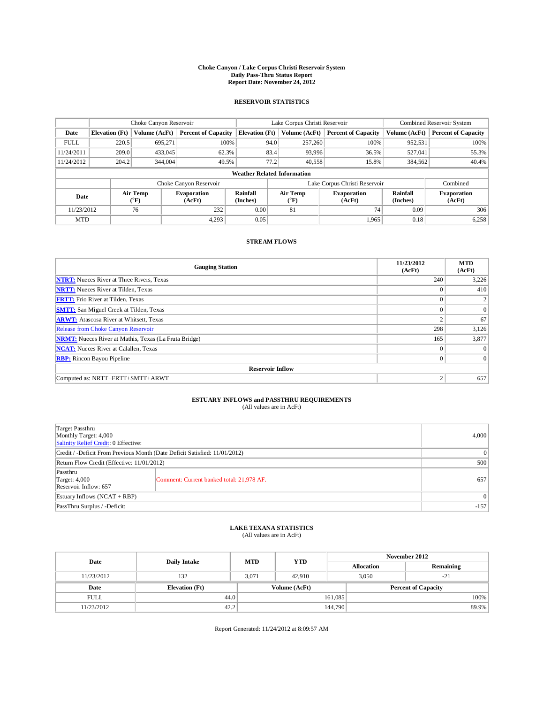### **Choke Canyon / Lake Corpus Christi Reservoir System Daily Pass-Thru Status Report Report Date: November 24, 2012**

#### **RESERVOIR STATISTICS**

|             |                       | Choke Canyon Reservoir |                              |                                    | Lake Corpus Christi Reservoir |                               |                      | Combined Reservoir System    |
|-------------|-----------------------|------------------------|------------------------------|------------------------------------|-------------------------------|-------------------------------|----------------------|------------------------------|
| Date        | <b>Elevation</b> (Ft) | Volume (AcFt)          | <b>Percent of Capacity</b>   | <b>Elevation</b> (Ft)              | Volume (AcFt)                 | <b>Percent of Capacity</b>    | Volume (AcFt)        | <b>Percent of Capacity</b>   |
| <b>FULL</b> | 220.5                 | 695,271                | 100%                         | 94.0                               | 257,260                       | 100%                          | 952,531              | 100%                         |
| 11/24/2011  | 209.0                 | 433,045                | 62.3%                        | 83.4                               | 93,996                        | 36.5%                         | 527,041              | 55.3%                        |
| 11/24/2012  | 204.2                 | 344,004                | 49.5%                        | 77.2                               | 40,558                        | 15.8%                         | 384,562              | 40.4%                        |
|             |                       |                        |                              | <b>Weather Related Information</b> |                               |                               |                      |                              |
|             |                       |                        | Choke Canyon Reservoir       |                                    |                               | Lake Corpus Christi Reservoir |                      | Combined                     |
| Date        |                       | Air Temp<br>$(^{0}F)$  | <b>Evaporation</b><br>(AcFt) | Rainfall<br>(Inches)               | Air Temp<br>$\rm ^{(^o}\!F)$  | <b>Evaporation</b><br>(AcFt)  | Rainfall<br>(Inches) | <b>Evaporation</b><br>(AcFt) |
| 11/23/2012  |                       | 76                     | 232                          | 0.00                               | 81                            | 74                            | 0.09                 | 306                          |
| <b>MTD</b>  |                       |                        | 4.293                        | 0.05                               |                               | 1.965                         | 0.18                 | 6,258                        |

#### **STREAM FLOWS**

| <b>Gauging Station</b>                                       | 11/23/2012<br>(AcFt) | <b>MTD</b><br>(AcFt) |  |  |  |
|--------------------------------------------------------------|----------------------|----------------------|--|--|--|
| <b>NTRT:</b> Nueces River at Three Rivers, Texas             | 240                  | 3,226                |  |  |  |
| <b>NRTT:</b> Nueces River at Tilden, Texas                   | $\Omega$             | 410                  |  |  |  |
| <b>FRTT:</b> Frio River at Tilden, Texas                     | $\Omega$             |                      |  |  |  |
| <b>SMTT:</b> San Miguel Creek at Tilden, Texas               | $\Omega$             | $\theta$             |  |  |  |
| <b>ARWT:</b> Atascosa River at Whitsett, Texas               | $\mathbf{2}$         | 67                   |  |  |  |
| Release from Choke Canyon Reservoir                          | 298                  | 3,126                |  |  |  |
| <b>NRMT:</b> Nueces River at Mathis, Texas (La Fruta Bridge) | 165                  | 3,877                |  |  |  |
| <b>NCAT:</b> Nueces River at Calallen, Texas<br>$\Omega$     |                      |                      |  |  |  |
| <b>RBP:</b> Rincon Bayou Pipeline                            | $\mathbf{0}$         | $\overline{0}$       |  |  |  |
| <b>Reservoir Inflow</b>                                      |                      |                      |  |  |  |
| Computed as: NRTT+FRTT+SMTT+ARWT<br>2                        |                      |                      |  |  |  |

# **ESTUARY INFLOWS and PASSTHRU REQUIREMENTS**<br>(All values are in AcFt)

|                                                                                  | (All values are in AcFt)                  |       |
|----------------------------------------------------------------------------------|-------------------------------------------|-------|
| Target Passthru<br>Monthly Target: 4,000<br>Salinity Relief Credit: 0 Effective: |                                           | 4,000 |
| Credit / -Deficit From Previous Month (Date Deficit Satisfied: 11/01/2012)       |                                           |       |
| Return Flow Credit (Effective: 11/01/2012)                                       |                                           | 500   |
| Passthru<br>Target: 4,000<br>Reservoir Inflow: 657                               | Comment: Current banked total: 21,978 AF. | 657   |
| Estuary Inflows $(NCAT + RBP)$                                                   |                                           |       |

# **LAKE TEXANA STATISTICS** (All values are in AcFt)

PassThru Surplus / -Deficit:  $-157$ 

| Date        | <b>Daily Intake</b>   | <b>MTD</b> | <b>YTD</b>    | November 2012 |                            |           |
|-------------|-----------------------|------------|---------------|---------------|----------------------------|-----------|
|             |                       |            |               |               | <b>Allocation</b>          | Remaining |
| 11/23/2012  | 132                   | 3.071      | 42,910        |               | 3.050<br>$-21$             |           |
| Date        | <b>Elevation</b> (Ft) |            | Volume (AcFt) |               | <b>Percent of Capacity</b> |           |
| <b>FULL</b> | 44.0                  |            | 161,085       |               | 100%                       |           |
| 11/23/2012  | 42.2                  |            |               | 144,790       |                            | 89.9%     |

Report Generated: 11/24/2012 at 8:09:57 AM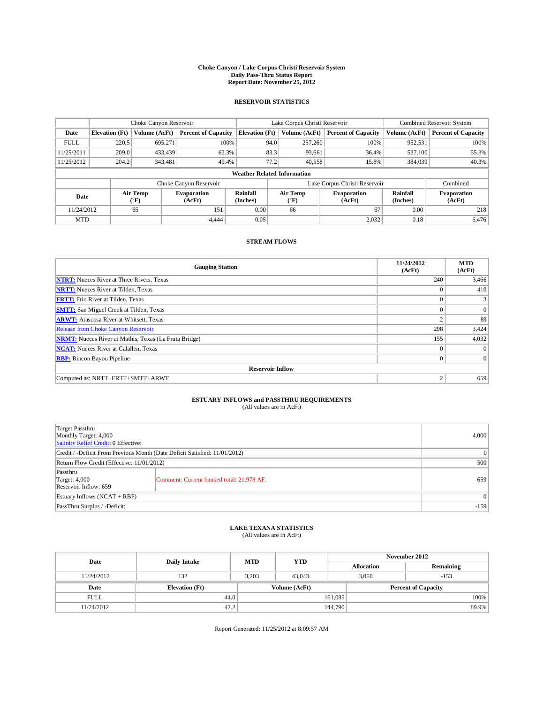### **Choke Canyon / Lake Corpus Christi Reservoir System Daily Pass-Thru Status Report Report Date: November 25, 2012**

#### **RESERVOIR STATISTICS**

|             |                       | Choke Canyon Reservoir |                              |                                    | Lake Corpus Christi Reservoir |                               |                      | Combined Reservoir System    |
|-------------|-----------------------|------------------------|------------------------------|------------------------------------|-------------------------------|-------------------------------|----------------------|------------------------------|
| Date        | <b>Elevation</b> (Ft) | Volume (AcFt)          | <b>Percent of Capacity</b>   | <b>Elevation</b> (Ft)              | Volume (AcFt)                 | <b>Percent of Capacity</b>    | Volume (AcFt)        | <b>Percent of Capacity</b>   |
| <b>FULL</b> | 220.5                 | 695,271                | 100%                         | 94.0                               | 257,260                       | 100%                          | 952,531              | 100%                         |
| 11/25/2011  | 209.0                 | 433.439                | 62.3%                        | 83.3                               | 93,661                        | 36.4%                         | 527,100              | 55.3%                        |
| 11/25/2012  | 204.2                 | 343,481                | 49.4%                        | 77.2                               | 40,558                        | 15.8%                         | 384,039              | 40.3%                        |
|             |                       |                        |                              | <b>Weather Related Information</b> |                               |                               |                      |                              |
|             |                       |                        | Choke Canyon Reservoir       |                                    |                               | Lake Corpus Christi Reservoir |                      | Combined                     |
| Date        |                       | Air Temp<br>(°F)       | <b>Evaporation</b><br>(AcFt) | Rainfall<br>(Inches)               | Air Temp<br>$\rm ^{(^oF)}$    | <b>Evaporation</b><br>(AcFt)  | Rainfall<br>(Inches) | <b>Evaporation</b><br>(AcFt) |
| 11/24/2012  |                       | 65                     | 151                          | 0.00                               | 66                            | 67                            | 0.00                 | 218                          |
| <b>MTD</b>  |                       |                        | 4.444                        | 0.05                               |                               | 2,032                         | 0.18                 | 6.476                        |

#### **STREAM FLOWS**

| <b>Gauging Station</b>                                       | 11/24/2012<br>(AcFt) | <b>MTD</b><br>(AcFt) |  |  |  |
|--------------------------------------------------------------|----------------------|----------------------|--|--|--|
| <b>NTRT:</b> Nueces River at Three Rivers, Texas             | 240                  | 3,466                |  |  |  |
| <b>NRTT:</b> Nueces River at Tilden, Texas                   | $\Omega$             | 410                  |  |  |  |
| <b>FRTT:</b> Frio River at Tilden, Texas                     | $\Omega$             | 3                    |  |  |  |
| <b>SMTT:</b> San Miguel Creek at Tilden, Texas               | $\Omega$             | $\overline{0}$       |  |  |  |
| <b>ARWT:</b> Atascosa River at Whitsett, Texas               | $\overline{2}$       | 69                   |  |  |  |
| Release from Choke Canyon Reservoir                          | 298                  | 3,424                |  |  |  |
| <b>NRMT:</b> Nueces River at Mathis, Texas (La Fruta Bridge) | 155                  | 4,032                |  |  |  |
| <b>NCAT:</b> Nueces River at Calallen, Texas                 | $\Omega$             |                      |  |  |  |
| <b>RBP:</b> Rincon Bayou Pipeline                            | $\mathbf{0}$         | $\overline{0}$       |  |  |  |
| <b>Reservoir Inflow</b>                                      |                      |                      |  |  |  |
| $\overline{2}$<br>Computed as: NRTT+FRTT+SMTT+ARWT           |                      |                      |  |  |  |

### **ESTUARY INFLOWS and PASSTHRU REQUIREMENTS**

| (All values are in AcFt) |
|--------------------------|
|--------------------------|

| Target Passthru<br>Monthly Target: 4,000<br>Salinity Relief Credit: 0 Effective: | 4,000                                     |     |  |  |  |
|----------------------------------------------------------------------------------|-------------------------------------------|-----|--|--|--|
| Credit / -Deficit From Previous Month (Date Deficit Satisfied: 11/01/2012)       |                                           |     |  |  |  |
| Return Flow Credit (Effective: 11/01/2012)                                       | 500                                       |     |  |  |  |
| Passthru<br>Target: 4,000<br>Reservoir Inflow: 659                               | Comment: Current banked total: 21,978 AF. | 659 |  |  |  |
| Estuary Inflows $(NCAT + RBP)$                                                   | 0                                         |     |  |  |  |
| PassThru Surplus / -Deficit:                                                     | $-159$                                    |     |  |  |  |

### **LAKE TEXANA STATISTICS** (All values are in AcFt)

| Date        | <b>Daily Intake</b>   | <b>MTD</b> | <b>YTD</b>                                  | November 2012 |                   |           |  |
|-------------|-----------------------|------------|---------------------------------------------|---------------|-------------------|-----------|--|
|             |                       |            |                                             |               | <b>Allocation</b> | Remaining |  |
| 11/24/2012  | 132                   | 3.203      | 43,043                                      | 3.050         |                   | $-153$    |  |
| Date        | <b>Elevation</b> (Ft) |            | Volume (AcFt)<br><b>Percent of Capacity</b> |               |                   |           |  |
| <b>FULL</b> | 44.0                  |            |                                             | 161,085       |                   | 100%      |  |
| 11/24/2012  | 42.2                  |            |                                             | 144,790       |                   | 89.9%     |  |

Report Generated: 11/25/2012 at 8:09:57 AM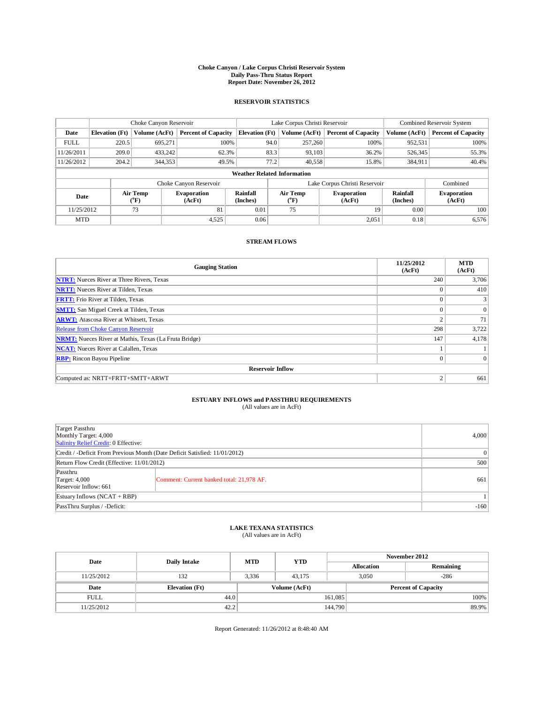### **Choke Canyon / Lake Corpus Christi Reservoir System Daily Pass-Thru Status Report Report Date: November 26, 2012**

#### **RESERVOIR STATISTICS**

|             | Choke Canyon Reservoir |                              |                              |                                    | Lake Corpus Christi Reservoir                    |         | Combined Reservoir System  |                              |                            |
|-------------|------------------------|------------------------------|------------------------------|------------------------------------|--------------------------------------------------|---------|----------------------------|------------------------------|----------------------------|
| Date        | <b>Elevation</b> (Ft)  | Volume (AcFt)                | <b>Percent of Capacity</b>   | <b>Elevation</b> (Ft)              | Volume (AcFt)                                    |         | <b>Percent of Capacity</b> | Volume (AcFt)                | <b>Percent of Capacity</b> |
| <b>FULL</b> | 220.5                  | 695.271                      | 100%                         |                                    | 94.0                                             | 257,260 | 100%                       | 952,531                      | 100%                       |
| 11/26/2011  | 209.0                  | 433.242                      | 62.3%                        |                                    | 83.3                                             | 93,103  | 36.2%                      | 526,345                      | 55.3%                      |
| 11/26/2012  | 204.2                  | 344,353                      | 49.5%                        |                                    | 77.2                                             | 40,558  | 15.8%                      | 384,911                      | 40.4%                      |
|             |                        |                              |                              | <b>Weather Related Information</b> |                                                  |         |                            |                              |                            |
|             |                        |                              | Choke Canyon Reservoir       |                                    | Lake Corpus Christi Reservoir<br>Combined        |         |                            |                              |                            |
| Date        |                        | Air Temp<br>$({}^0\text{F})$ | <b>Evaporation</b><br>(AcFt) | Rainfall<br>(Inches)               | Air Temp<br><b>Evaporation</b><br>(°F)<br>(AcFt) |         | Rainfall<br>(Inches)       | <b>Evaporation</b><br>(AcFt) |                            |
| 11/25/2012  |                        | 73                           | 81                           | 0.01                               | 75                                               |         | 19                         | 0.00                         | 100                        |
| <b>MTD</b>  |                        |                              | 4,525                        | 0.06                               |                                                  |         | 2,051                      | 0.18                         | 6,576                      |

#### **STREAM FLOWS**

| <b>Gauging Station</b>                                       | 11/25/2012<br>(AcFt) | <b>MTD</b><br>(AcFt) |  |  |  |  |  |
|--------------------------------------------------------------|----------------------|----------------------|--|--|--|--|--|
| <b>NTRT:</b> Nueces River at Three Rivers, Texas             | 240                  | 3,706                |  |  |  |  |  |
| <b>NRTT:</b> Nueces River at Tilden, Texas                   | $\theta$             | 410                  |  |  |  |  |  |
| <b>FRTT:</b> Frio River at Tilden, Texas                     | $\theta$             |                      |  |  |  |  |  |
| <b>SMTT:</b> San Miguel Creek at Tilden, Texas               | $\theta$             | $\Omega$             |  |  |  |  |  |
| <b>ARWT:</b> Atascosa River at Whitsett, Texas               | 2                    | 71                   |  |  |  |  |  |
| Release from Choke Canyon Reservoir                          | 298                  | 3,722                |  |  |  |  |  |
| <b>NRMT:</b> Nueces River at Mathis, Texas (La Fruta Bridge) | 147                  | 4,178                |  |  |  |  |  |
| <b>NCAT:</b> Nueces River at Calallen, Texas                 |                      |                      |  |  |  |  |  |
| <b>RBP:</b> Rincon Bayou Pipeline                            | $\overline{0}$       | $\Omega$             |  |  |  |  |  |
| <b>Reservoir Inflow</b>                                      |                      |                      |  |  |  |  |  |
| Computed as: NRTT+FRTT+SMTT+ARWT                             | 2                    | 661                  |  |  |  |  |  |

# **ESTUARY INFLOWS and PASSTHRU REQUIREMENTS**<br>(All values are in AcFt)

| Target Passthru<br>Monthly Target: 4,000<br>Salinity Relief Credit: 0 Effective: | 4,000                                     |     |  |  |  |
|----------------------------------------------------------------------------------|-------------------------------------------|-----|--|--|--|
| Credit / -Deficit From Previous Month (Date Deficit Satisfied: 11/01/2012)       |                                           |     |  |  |  |
| Return Flow Credit (Effective: 11/01/2012)                                       | 500                                       |     |  |  |  |
| Passthru<br>Target: $4,000$<br>Reservoir Inflow: 661                             | Comment: Current banked total: 21,978 AF. | 661 |  |  |  |
| Estuary Inflows $(NCAT + RBP)$                                                   |                                           |     |  |  |  |
| PassThru Surplus / -Deficit:                                                     | $-160$                                    |     |  |  |  |

# **LAKE TEXANA STATISTICS** (All values are in AcFt)

| Date        |                       | <b>MTD</b> | <b>YTD</b>    | November 2012              |                   |           |  |
|-------------|-----------------------|------------|---------------|----------------------------|-------------------|-----------|--|
|             | <b>Daily Intake</b>   |            |               |                            | <b>Allocation</b> | Remaining |  |
| 11/25/2012  | 132                   | 3.336      | 43.175        | 3.050                      |                   | $-286$    |  |
| Date        | <b>Elevation</b> (Ft) |            | Volume (AcFt) | <b>Percent of Capacity</b> |                   |           |  |
| <b>FULL</b> | 44.0                  |            |               | 161,085                    |                   | 100%      |  |
| 11/25/2012  | 42.2                  |            |               | 144,790                    |                   | 89.9%     |  |

Report Generated: 11/26/2012 at 8:48:40 AM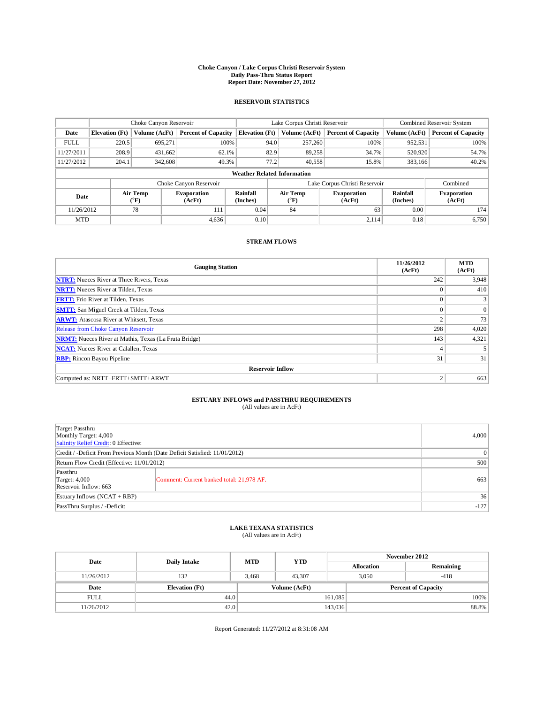### **Choke Canyon / Lake Corpus Christi Reservoir System Daily Pass-Thru Status Report Report Date: November 27, 2012**

#### **RESERVOIR STATISTICS**

|             |                       | Choke Canyon Reservoir |                              |                                    | Lake Corpus Christi Reservoir                    | Combined Reservoir System  |                             |                              |
|-------------|-----------------------|------------------------|------------------------------|------------------------------------|--------------------------------------------------|----------------------------|-----------------------------|------------------------------|
| Date        | <b>Elevation</b> (Ft) | Volume (AcFt)          | <b>Percent of Capacity</b>   | <b>Elevation</b> (Ft)              | Volume (AcFt)                                    | <b>Percent of Capacity</b> | Volume (AcFt)               | <b>Percent of Capacity</b>   |
| <b>FULL</b> | 220.5                 | 695.271                | 100%                         |                                    | 94.0<br>257,260                                  | 100%                       | 952,531                     | 100%                         |
| 11/27/2011  | 208.9                 | 431,662                | 62.1%                        |                                    | 89,258<br>82.9                                   | 34.7%                      | 520,920                     | 54.7%                        |
| 11/27/2012  | 204.1                 | 342,608                | 49.3%                        |                                    | 77.2<br>40,558                                   | 15.8%                      | 383,166                     | 40.2%                        |
|             |                       |                        |                              | <b>Weather Related Information</b> |                                                  |                            |                             |                              |
|             |                       |                        | Choke Canyon Reservoir       |                                    | Lake Corpus Christi Reservoir                    |                            | Combined                    |                              |
| Date        |                       | Air Temp<br>$(^{0}F)$  | <b>Evaporation</b><br>(AcFt) | Rainfall<br>(Inches)               | Air Temp<br><b>Evaporation</b><br>(°F)<br>(AcFt) |                            | <b>Rainfall</b><br>(Inches) | <b>Evaporation</b><br>(AcFt) |
| 11/26/2012  |                       | 78                     | 111                          | 0.04                               | 84                                               | 63                         | 0.00                        | 174                          |
| <b>MTD</b>  |                       |                        | 4.636                        | 0.10                               |                                                  | 2.114                      | 0.18                        | 6,750                        |

#### **STREAM FLOWS**

| <b>Gauging Station</b>                                       | 11/26/2012<br>(AcFt) | <b>MTD</b><br>(AcFt) |  |  |  |  |  |
|--------------------------------------------------------------|----------------------|----------------------|--|--|--|--|--|
| <b>NTRT:</b> Nueces River at Three Rivers, Texas             | 242                  | 3,948                |  |  |  |  |  |
| <b>NRTT:</b> Nueces River at Tilden, Texas                   | $\Omega$             | 410                  |  |  |  |  |  |
| <b>FRTT:</b> Frio River at Tilden, Texas                     | $\Omega$             | 3                    |  |  |  |  |  |
| <b>SMTT:</b> San Miguel Creek at Tilden, Texas               | $\Omega$             | $\overline{0}$       |  |  |  |  |  |
| <b>ARWT:</b> Atascosa River at Whitsett, Texas               | $\overline{c}$       | 73                   |  |  |  |  |  |
| Release from Choke Canyon Reservoir                          | 298                  | 4,020                |  |  |  |  |  |
| <b>NRMT:</b> Nueces River at Mathis, Texas (La Fruta Bridge) | 143                  | 4,321                |  |  |  |  |  |
| <b>NCAT:</b> Nueces River at Calallen, Texas                 | 4                    |                      |  |  |  |  |  |
| <b>RBP:</b> Rincon Bayou Pipeline                            | 31                   | 31                   |  |  |  |  |  |
| <b>Reservoir Inflow</b>                                      |                      |                      |  |  |  |  |  |
| Computed as: NRTT+FRTT+SMTT+ARWT                             | 2                    | 663                  |  |  |  |  |  |

# **ESTUARY INFLOWS and PASSTHRU REQUIREMENTS**<br>(All values are in AcFt)

| Target Passthru<br>Monthly Target: 4,000<br>Salinity Relief Credit: 0 Effective: |                                           |     |  |  |  |
|----------------------------------------------------------------------------------|-------------------------------------------|-----|--|--|--|
| Credit / -Deficit From Previous Month (Date Deficit Satisfied: 11/01/2012)       |                                           |     |  |  |  |
| Return Flow Credit (Effective: 11/01/2012)                                       | 500                                       |     |  |  |  |
| Passthru<br>Target: $4,000$<br>Reservoir Inflow: 663                             | Comment: Current banked total: 21,978 AF. | 663 |  |  |  |
| Estuary Inflows $(NCAT + RBP)$                                                   | 36                                        |     |  |  |  |
| PassThru Surplus / -Deficit:                                                     | $-127$                                    |     |  |  |  |

# **LAKE TEXANA STATISTICS** (All values are in AcFt)

| Date        | <b>Daily Intake</b>   | <b>MTD</b> | <b>YTD</b>    | November 2012 |                            |           |  |
|-------------|-----------------------|------------|---------------|---------------|----------------------------|-----------|--|
|             |                       |            |               |               | <b>Allocation</b>          | Remaining |  |
| 11/26/2012  | 132                   | 3.468      | 43.307        |               | 3.050                      | $-418$    |  |
| Date        | <b>Elevation</b> (Ft) |            | Volume (AcFt) |               | <b>Percent of Capacity</b> |           |  |
| <b>FULL</b> | 44.0                  |            |               | 161,085       |                            | 100%      |  |
| 11/26/2012  | 42.0                  |            |               | 143,036       |                            | 88.8%     |  |

Report Generated: 11/27/2012 at 8:31:08 AM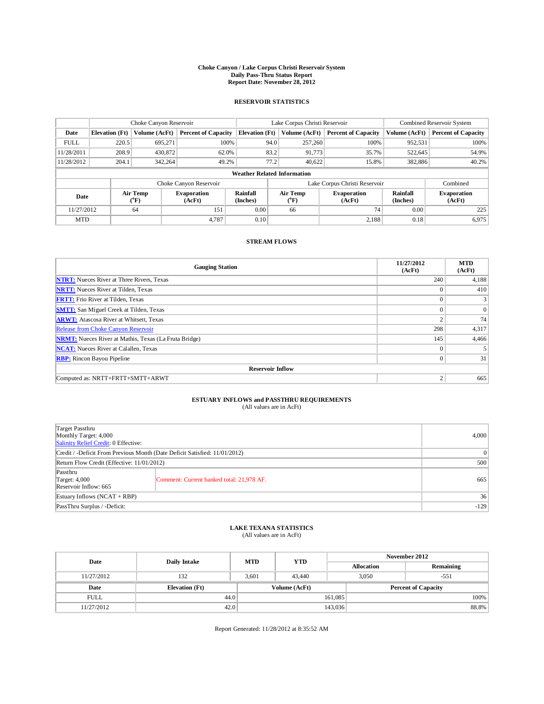### **Choke Canyon / Lake Corpus Christi Reservoir System Daily Pass-Thru Status Report Report Date: November 28, 2012**

#### **RESERVOIR STATISTICS**

|             | Choke Canyon Reservoir             |                              |                              | Lake Corpus Christi Reservoir | Combined Reservoir System                        |               |                             |                              |                            |  |
|-------------|------------------------------------|------------------------------|------------------------------|-------------------------------|--------------------------------------------------|---------------|-----------------------------|------------------------------|----------------------------|--|
| Date        | <b>Elevation</b> (Ft)              | Volume (AcFt)                | <b>Percent of Capacity</b>   | <b>Elevation</b> (Ft)         |                                                  | Volume (AcFt) | <b>Percent of Capacity</b>  | Volume (AcFt)                | <b>Percent of Capacity</b> |  |
| <b>FULL</b> | 220.5                              | 695.271                      | 100%                         |                               | 94.0                                             | 257,260       | 100%                        | 952,531                      | 100%                       |  |
| 11/28/2011  | 208.9                              | 430,872                      | 62.0%                        |                               | 83.2                                             | 91,773        | 35.7%                       | 522,645                      | 54.9%                      |  |
| 11/28/2012  | 204.1                              | 342,264                      | 49.2%                        |                               | 77.2                                             | 40,622        | 15.8%                       | 382,886                      | 40.2%                      |  |
|             | <b>Weather Related Information</b> |                              |                              |                               |                                                  |               |                             |                              |                            |  |
|             |                                    |                              | Choke Canyon Reservoir       |                               | Lake Corpus Christi Reservoir                    |               |                             |                              | Combined                   |  |
| Date        |                                    | Air Temp<br>$({}^0\text{F})$ | <b>Evaporation</b><br>(AcFt) | Rainfall<br>(Inches)          | Air Temp<br><b>Evaporation</b><br>(°F)<br>(AcFt) |               | <b>Rainfall</b><br>(Inches) | <b>Evaporation</b><br>(AcFt) |                            |  |
| 11/27/2012  |                                    | 64                           | 151                          | 0.00                          |                                                  | 66            | 74                          | 0.00                         | 225                        |  |
| <b>MTD</b>  |                                    |                              | 4.787                        | 0.10                          |                                                  |               | 2.188                       | 0.18                         | 6,975                      |  |

#### **STREAM FLOWS**

| <b>Gauging Station</b>                                       | 11/27/2012<br>(AcFt) | <b>MTD</b><br>(AcFt) |  |  |  |  |  |
|--------------------------------------------------------------|----------------------|----------------------|--|--|--|--|--|
| <b>NTRT:</b> Nueces River at Three Rivers, Texas             | 240                  | 4,188                |  |  |  |  |  |
| <b>NRTT:</b> Nueces River at Tilden, Texas                   | $\theta$             | 410                  |  |  |  |  |  |
| <b>FRTT:</b> Frio River at Tilden, Texas                     | $\theta$             |                      |  |  |  |  |  |
| <b>SMTT:</b> San Miguel Creek at Tilden, Texas               | $\Omega$             | $\Omega$             |  |  |  |  |  |
| <b>ARWT:</b> Atascosa River at Whitsett, Texas               | $\mathcal{L}$        | 74                   |  |  |  |  |  |
| Release from Choke Canyon Reservoir                          | 298                  | 4,317                |  |  |  |  |  |
| <b>NRMT:</b> Nueces River at Mathis, Texas (La Fruta Bridge) | 145                  | 4,466                |  |  |  |  |  |
| <b>NCAT:</b> Nueces River at Calallen, Texas                 | $\mathbf{0}$         |                      |  |  |  |  |  |
| <b>RBP:</b> Rincon Bayou Pipeline                            | $\overline{0}$       | 31                   |  |  |  |  |  |
| <b>Reservoir Inflow</b>                                      |                      |                      |  |  |  |  |  |
| Computed as: NRTT+FRTT+SMTT+ARWT                             | 2                    | 665                  |  |  |  |  |  |

# **ESTUARY INFLOWS and PASSTHRU REQUIREMENTS**<br>(All values are in AcFt)

| Target Passthru<br>Monthly Target: 4,000<br>Salinity Relief Credit: 0 Effective: | 4.000                                     |     |
|----------------------------------------------------------------------------------|-------------------------------------------|-----|
| Credit / -Deficit From Previous Month (Date Deficit Satisfied: 11/01/2012)       | $\theta$                                  |     |
| Return Flow Credit (Effective: 11/01/2012)                                       | 500                                       |     |
| Passthru<br>Target: $4,000$<br>Reservoir Inflow: 665                             | Comment: Current banked total: 21,978 AF. | 665 |
| Estuary Inflows $(NCAT + RBP)$                                                   | 36                                        |     |
| PassThru Surplus / -Deficit:                                                     | $-129$                                    |     |

# **LAKE TEXANA STATISTICS** (All values are in AcFt)

|             | <b>YTD</b><br><b>Daily Intake</b><br><b>MTD</b><br>Date |                                |               | November 2012 |                            |       |  |
|-------------|---------------------------------------------------------|--------------------------------|---------------|---------------|----------------------------|-------|--|
|             |                                                         | Remaining<br><b>Allocation</b> |               |               |                            |       |  |
| 11/27/2012  | 132                                                     | 3,601                          | 43.440        |               | 3,050<br>$-551$            |       |  |
| Date        | <b>Elevation</b> (Ft)                                   |                                | Volume (AcFt) |               | <b>Percent of Capacity</b> |       |  |
| <b>FULL</b> | 44.0                                                    |                                |               | 161,085       |                            | 100%  |  |
| 11/27/2012  | 42.0                                                    |                                |               | 143,036       |                            | 88.8% |  |

Report Generated: 11/28/2012 at 8:35:52 AM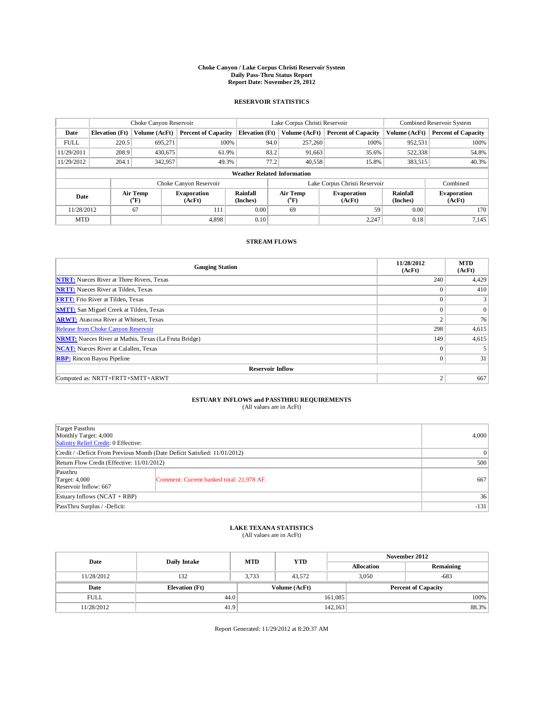### **Choke Canyon / Lake Corpus Christi Reservoir System Daily Pass-Thru Status Report Report Date: November 29, 2012**

#### **RESERVOIR STATISTICS**

|             | Choke Canyon Reservoir |                       |                              |                                    | Lake Corpus Christi Reservoir |                                                  |                               |                      | Combined Reservoir System    |  |  |
|-------------|------------------------|-----------------------|------------------------------|------------------------------------|-------------------------------|--------------------------------------------------|-------------------------------|----------------------|------------------------------|--|--|
| Date        | <b>Elevation</b> (Ft)  | Volume (AcFt)         | <b>Percent of Capacity</b>   | <b>Elevation</b> (Ft)              |                               | Volume (AcFt)                                    | <b>Percent of Capacity</b>    | Volume (AcFt)        | <b>Percent of Capacity</b>   |  |  |
| <b>FULL</b> | 220.5                  | 695.271               | 100%                         |                                    | 94.0                          | 257,260                                          | 100%                          | 952,531              | 100%                         |  |  |
| 11/29/2011  | 208.9                  | 430.675               | 61.9%                        |                                    | 83.2                          | 91,663                                           | 35.6%                         | 522,338              | 54.8%                        |  |  |
| 11/29/2012  | 204.1                  | 342,957               | 49.3%                        |                                    | 77.2                          | 40,558                                           | 15.8%                         | 383,515              | 40.3%                        |  |  |
|             |                        |                       |                              | <b>Weather Related Information</b> |                               |                                                  |                               |                      |                              |  |  |
|             |                        |                       | Choke Canyon Reservoir       |                                    |                               |                                                  | Lake Corpus Christi Reservoir |                      | Combined                     |  |  |
| Date        |                        | Air Temp<br>$(^{0}F)$ | <b>Evaporation</b><br>(AcFt) | Rainfall<br>(Inches)               |                               | Air Temp<br><b>Evaporation</b><br>(°F)<br>(AcFt) |                               | Rainfall<br>(Inches) | <b>Evaporation</b><br>(AcFt) |  |  |
| 11/28/2012  |                        | 67                    | 111                          | 0.00                               |                               | 69                                               | 59                            | 0.00                 | 170                          |  |  |
| <b>MTD</b>  |                        |                       | 4.898                        | 0.10                               |                               |                                                  | 2.247                         | 0.18                 | 7,145                        |  |  |

#### **STREAM FLOWS**

| <b>Gauging Station</b>                                       | 11/28/2012<br>(AcFt) | <b>MTD</b><br>(AcFt) |  |  |  |
|--------------------------------------------------------------|----------------------|----------------------|--|--|--|
| <b>NTRT:</b> Nueces River at Three Rivers, Texas             | 240                  | 4,429                |  |  |  |
| <b>NRTT:</b> Nueces River at Tilden, Texas                   | $\theta$             | 410                  |  |  |  |
| <b>FRTT:</b> Frio River at Tilden, Texas                     | $\mathbf{0}$         |                      |  |  |  |
| <b>SMTT:</b> San Miguel Creek at Tilden, Texas               | $\theta$             | $\Omega$             |  |  |  |
| <b>ARWT:</b> Atascosa River at Whitsett, Texas               | $\overline{2}$       | 76                   |  |  |  |
| Release from Choke Canyon Reservoir                          | 298                  | 4,615                |  |  |  |
| <b>NRMT:</b> Nueces River at Mathis, Texas (La Fruta Bridge) | 149                  | 4,615                |  |  |  |
| <b>NCAT:</b> Nueces River at Calallen, Texas                 | $\mathbf{0}$         |                      |  |  |  |
| <b>RBP:</b> Rincon Bayou Pipeline                            | $\overline{0}$       | 31                   |  |  |  |
| <b>Reservoir Inflow</b>                                      |                      |                      |  |  |  |
| Computed as: NRTT+FRTT+SMTT+ARWT                             | 2                    | 667                  |  |  |  |

# **ESTUARY INFLOWS and PASSTHRU REQUIREMENTS**<br>(All values are in AcFt)

| ,我们也不会有什么?""我们的人,我们也不会有什么?""我们的人,我们也不会有什么?""我们的人,我们也不会有什么?""我们的人,我们也不会有什么?""我们的人 |  |  |
|----------------------------------------------------------------------------------|--|--|
|                                                                                  |  |  |
|                                                                                  |  |  |
|                                                                                  |  |  |

| Target Passthru<br>Monthly Target: 4,000<br>Salinity Relief Credit: 0 Effective: | 4,000                                     |     |  |
|----------------------------------------------------------------------------------|-------------------------------------------|-----|--|
| Credit / -Deficit From Previous Month (Date Deficit Satisfied: 11/01/2012)       | $\Omega$                                  |     |  |
| Return Flow Credit (Effective: 11/01/2012)                                       | 500                                       |     |  |
| Passthru<br>Target: $4,000$<br>Reservoir Inflow: 667                             | Comment: Current banked total: 21,978 AF. | 667 |  |
| Estuary Inflows $(NCAT + RBP)$                                                   |                                           |     |  |
| PassThru Surplus / -Deficit:                                                     |                                           |     |  |

### **LAKE TEXANA STATISTICS** (All values are in AcFt)

| Date        | Daily Intake          | <b>MTD</b> | <b>YTD</b>    | November 2012     |                            |           |  |
|-------------|-----------------------|------------|---------------|-------------------|----------------------------|-----------|--|
|             |                       |            |               | <b>Allocation</b> |                            | Remaining |  |
| 11/28/2012  | 132                   | 3.733      | 43,572        | 3.050             |                            | $-683$    |  |
| Date        | <b>Elevation</b> (Ft) |            | Volume (AcFt) |                   | <b>Percent of Capacity</b> |           |  |
| <b>FULL</b> | 44.0                  |            |               | 161,085           |                            | $100\%$   |  |
| 11/28/2012  | 41.9                  |            |               | 142.163           |                            | 88.3%     |  |